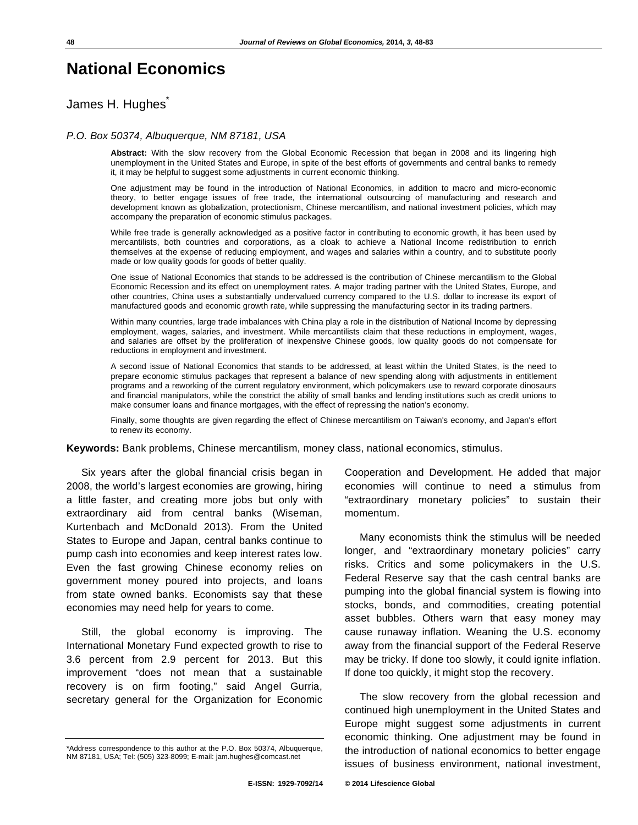# **National Economics**

James H. Hughes\*

#### *P.O. Box 50374, Albuquerque, NM 87181, USA*

**Abstract:** With the slow recovery from the Global Economic Recession that began in 2008 and its lingering high unemployment in the United States and Europe, in spite of the best efforts of governments and central banks to remedy it, it may be helpful to suggest some adjustments in current economic thinking.

One adjustment may be found in the introduction of National Economics, in addition to macro and micro-economic theory, to better engage issues of free trade, the international outsourcing of manufacturing and research and development known as globalization, protectionism, Chinese mercantilism, and national investment policies, which may accompany the preparation of economic stimulus packages.

While free trade is generally acknowledged as a positive factor in contributing to economic growth, it has been used by mercantilists, both countries and corporations, as a cloak to achieve a National Income redistribution to enrich themselves at the expense of reducing employment, and wages and salaries within a country, and to substitute poorly made or low quality goods for goods of better quality.

One issue of National Economics that stands to be addressed is the contribution of Chinese mercantilism to the Global Economic Recession and its effect on unemployment rates. A major trading partner with the United States, Europe, and other countries, China uses a substantially undervalued currency compared to the U.S. dollar to increase its export of manufactured goods and economic growth rate, while suppressing the manufacturing sector in its trading partners.

Within many countries, large trade imbalances with China play a role in the distribution of National Income by depressing employment, wages, salaries, and investment. While mercantilists claim that these reductions in employment, wages, and salaries are offset by the proliferation of inexpensive Chinese goods, low quality goods do not compensate for reductions in employment and investment.

A second issue of National Economics that stands to be addressed, at least within the United States, is the need to prepare economic stimulus packages that represent a balance of new spending along with adjustments in entitlement programs and a reworking of the current regulatory environment, which policymakers use to reward corporate dinosaurs and financial manipulators, while the constrict the ability of small banks and lending institutions such as credit unions to make consumer loans and finance mortgages, with the effect of repressing the nation's economy.

Finally, some thoughts are given regarding the effect of Chinese mercantilism on Taiwan's economy, and Japan's effort to renew its economy.

**Keywords:** Bank problems, Chinese mercantilism, money class, national economics, stimulus.

Six years after the global financial crisis began in 2008, the world's largest economies are growing, hiring a little faster, and creating more jobs but only with extraordinary aid from central banks (Wiseman, Kurtenbach and McDonald 2013). From the United States to Europe and Japan, central banks continue to pump cash into economies and keep interest rates low. Even the fast growing Chinese economy relies on government money poured into projects, and loans from state owned banks. Economists say that these economies may need help for years to come.

Still, the global economy is improving. The International Monetary Fund expected growth to rise to 3.6 percent from 2.9 percent for 2013. But this improvement "does not mean that a sustainable recovery is on firm footing," said Angel Gurria, secretary general for the Organization for Economic Cooperation and Development. He added that major economies will continue to need a stimulus from "extraordinary monetary policies" to sustain their momentum.

Many economists think the stimulus will be needed longer, and "extraordinary monetary policies" carry risks. Critics and some policymakers in the U.S. Federal Reserve say that the cash central banks are pumping into the global financial system is flowing into stocks, bonds, and commodities, creating potential asset bubbles. Others warn that easy money may cause runaway inflation. Weaning the U.S. economy away from the financial support of the Federal Reserve may be tricky. If done too slowly, it could ignite inflation. If done too quickly, it might stop the recovery.

The slow recovery from the global recession and continued high unemployment in the United States and Europe might suggest some adjustments in current economic thinking. One adjustment may be found in the introduction of national economics to better engage issues of business environment, national investment,

<sup>\*</sup>Address correspondence to this author at the P.O. Box 50374, Albuquerque, NM 87181, USA; Tel: (505) 323-8099; E-mail: jam.hughes@comcast.net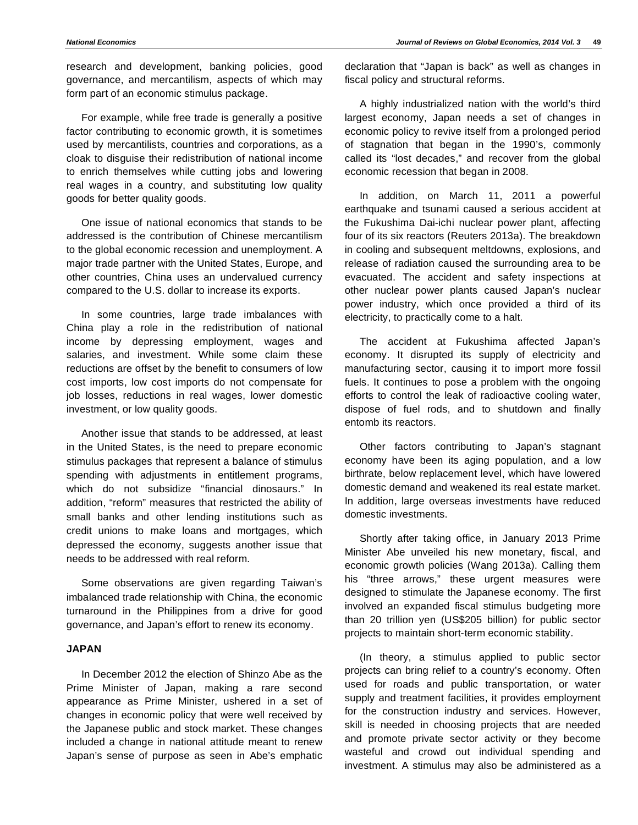research and development, banking policies, good governance, and mercantilism, aspects of which may form part of an economic stimulus package.

For example, while free trade is generally a positive factor contributing to economic growth, it is sometimes used by mercantilists, countries and corporations, as a cloak to disguise their redistribution of national income to enrich themselves while cutting jobs and lowering real wages in a country, and substituting low quality goods for better quality goods.

One issue of national economics that stands to be addressed is the contribution of Chinese mercantilism to the global economic recession and unemployment. A major trade partner with the United States, Europe, and other countries, China uses an undervalued currency compared to the U.S. dollar to increase its exports.

In some countries, large trade imbalances with China play a role in the redistribution of national income by depressing employment, wages and salaries, and investment. While some claim these reductions are offset by the benefit to consumers of low cost imports, low cost imports do not compensate for job losses, reductions in real wages, lower domestic investment, or low quality goods.

Another issue that stands to be addressed, at least in the United States, is the need to prepare economic stimulus packages that represent a balance of stimulus spending with adjustments in entitlement programs, which do not subsidize "financial dinosaurs." In addition, "reform" measures that restricted the ability of small banks and other lending institutions such as credit unions to make loans and mortgages, which depressed the economy, suggests another issue that needs to be addressed with real reform.

Some observations are given regarding Taiwan's imbalanced trade relationship with China, the economic turnaround in the Philippines from a drive for good governance, and Japan's effort to renew its economy.

#### **JAPAN**

In December 2012 the election of Shinzo Abe as the Prime Minister of Japan, making a rare second appearance as Prime Minister, ushered in a set of changes in economic policy that were well received by the Japanese public and stock market. These changes included a change in national attitude meant to renew Japan's sense of purpose as seen in Abe's emphatic

declaration that "Japan is back" as well as changes in fiscal policy and structural reforms.

A highly industrialized nation with the world's third largest economy, Japan needs a set of changes in economic policy to revive itself from a prolonged period of stagnation that began in the 1990's, commonly called its "lost decades," and recover from the global economic recession that began in 2008.

In addition, on March 11, 2011 a powerful earthquake and tsunami caused a serious accident at the Fukushima Dai-ichi nuclear power plant, affecting four of its six reactors (Reuters 2013a). The breakdown in cooling and subsequent meltdowns, explosions, and release of radiation caused the surrounding area to be evacuated. The accident and safety inspections at other nuclear power plants caused Japan's nuclear power industry, which once provided a third of its electricity, to practically come to a halt.

The accident at Fukushima affected Japan's economy. It disrupted its supply of electricity and manufacturing sector, causing it to import more fossil fuels. It continues to pose a problem with the ongoing efforts to control the leak of radioactive cooling water, dispose of fuel rods, and to shutdown and finally entomb its reactors.

Other factors contributing to Japan's stagnant economy have been its aging population, and a low birthrate, below replacement level, which have lowered domestic demand and weakened its real estate market. In addition, large overseas investments have reduced domestic investments.

Shortly after taking office, in January 2013 Prime Minister Abe unveiled his new monetary, fiscal, and economic growth policies (Wang 2013a). Calling them his "three arrows," these urgent measures were designed to stimulate the Japanese economy. The first involved an expanded fiscal stimulus budgeting more than 20 trillion yen (US\$205 billion) for public sector projects to maintain short-term economic stability.

(In theory, a stimulus applied to public sector projects can bring relief to a country's economy. Often used for roads and public transportation, or water supply and treatment facilities, it provides employment for the construction industry and services. However, skill is needed in choosing projects that are needed and promote private sector activity or they become wasteful and crowd out individual spending and investment. A stimulus may also be administered as a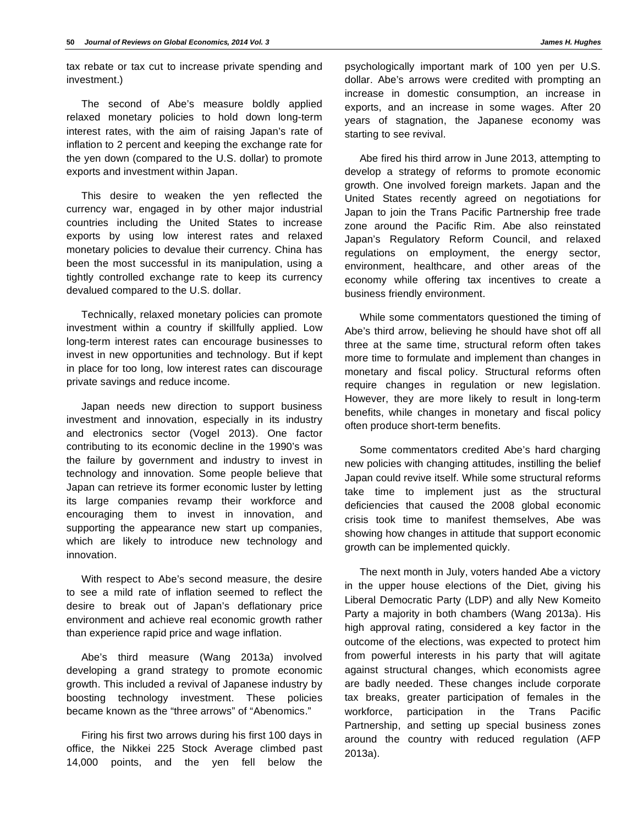tax rebate or tax cut to increase private spending and investment.)

The second of Abe's measure boldly applied relaxed monetary policies to hold down long-term interest rates, with the aim of raising Japan's rate of inflation to 2 percent and keeping the exchange rate for the yen down (compared to the U.S. dollar) to promote exports and investment within Japan.

This desire to weaken the yen reflected the currency war, engaged in by other major industrial countries including the United States to increase exports by using low interest rates and relaxed monetary policies to devalue their currency. China has been the most successful in its manipulation, using a tightly controlled exchange rate to keep its currency devalued compared to the U.S. dollar.

Technically, relaxed monetary policies can promote investment within a country if skillfully applied. Low long-term interest rates can encourage businesses to invest in new opportunities and technology. But if kept in place for too long, low interest rates can discourage private savings and reduce income.

Japan needs new direction to support business investment and innovation, especially in its industry and electronics sector (Vogel 2013). One factor contributing to its economic decline in the 1990's was the failure by government and industry to invest in technology and innovation. Some people believe that Japan can retrieve its former economic luster by letting its large companies revamp their workforce and encouraging them to invest in innovation, and supporting the appearance new start up companies, which are likely to introduce new technology and innovation.

With respect to Abe's second measure, the desire to see a mild rate of inflation seemed to reflect the desire to break out of Japan's deflationary price environment and achieve real economic growth rather than experience rapid price and wage inflation.

Abe's third measure (Wang 2013a) involved developing a grand strategy to promote economic growth. This included a revival of Japanese industry by boosting technology investment. These policies became known as the "three arrows" of "Abenomics."

Firing his first two arrows during his first 100 days in office, the Nikkei 225 Stock Average climbed past 14,000 points, and the yen fell below the

psychologically important mark of 100 yen per U.S. dollar. Abe's arrows were credited with prompting an increase in domestic consumption, an increase in exports, and an increase in some wages. After 20 years of stagnation, the Japanese economy was starting to see revival.

Abe fired his third arrow in June 2013, attempting to develop a strategy of reforms to promote economic growth. One involved foreign markets. Japan and the United States recently agreed on negotiations for Japan to join the Trans Pacific Partnership free trade zone around the Pacific Rim. Abe also reinstated Japan's Regulatory Reform Council, and relaxed regulations on employment, the energy sector, environment, healthcare, and other areas of the economy while offering tax incentives to create a business friendly environment.

While some commentators questioned the timing of Abe's third arrow, believing he should have shot off all three at the same time, structural reform often takes more time to formulate and implement than changes in monetary and fiscal policy. Structural reforms often require changes in regulation or new legislation. However, they are more likely to result in long-term benefits, while changes in monetary and fiscal policy often produce short-term benefits.

Some commentators credited Abe's hard charging new policies with changing attitudes, instilling the belief Japan could revive itself. While some structural reforms take time to implement just as the structural deficiencies that caused the 2008 global economic crisis took time to manifest themselves, Abe was showing how changes in attitude that support economic growth can be implemented quickly.

The next month in July, voters handed Abe a victory in the upper house elections of the Diet, giving his Liberal Democratic Party (LDP) and ally New Komeito Party a majority in both chambers (Wang 2013a). His high approval rating, considered a key factor in the outcome of the elections, was expected to protect him from powerful interests in his party that will agitate against structural changes, which economists agree are badly needed. These changes include corporate tax breaks, greater participation of females in the workforce, participation in the Trans Pacific Partnership, and setting up special business zones around the country with reduced regulation (AFP 2013a).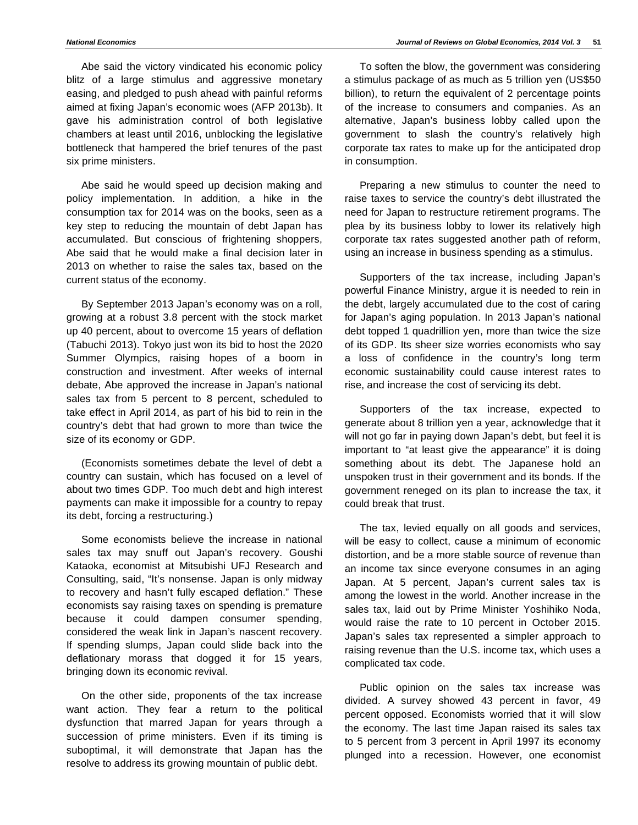Abe said the victory vindicated his economic policy blitz of a large stimulus and aggressive monetary easing, and pledged to push ahead with painful reforms aimed at fixing Japan's economic woes (AFP 2013b). It gave his administration control of both legislative chambers at least until 2016, unblocking the legislative bottleneck that hampered the brief tenures of the past six prime ministers.

Abe said he would speed up decision making and policy implementation. In addition, a hike in the consumption tax for 2014 was on the books, seen as a key step to reducing the mountain of debt Japan has accumulated. But conscious of frightening shoppers, Abe said that he would make a final decision later in 2013 on whether to raise the sales tax, based on the current status of the economy.

By September 2013 Japan's economy was on a roll, growing at a robust 3.8 percent with the stock market up 40 percent, about to overcome 15 years of deflation (Tabuchi 2013). Tokyo just won its bid to host the 2020 Summer Olympics, raising hopes of a boom in construction and investment. After weeks of internal debate, Abe approved the increase in Japan's national sales tax from 5 percent to 8 percent, scheduled to take effect in April 2014, as part of his bid to rein in the country's debt that had grown to more than twice the size of its economy or GDP.

(Economists sometimes debate the level of debt a country can sustain, which has focused on a level of about two times GDP. Too much debt and high interest payments can make it impossible for a country to repay its debt, forcing a restructuring.)

Some economists believe the increase in national sales tax may snuff out Japan's recovery. Goushi Kataoka, economist at Mitsubishi UFJ Research and Consulting, said, "It's nonsense. Japan is only midway to recovery and hasn't fully escaped deflation." These economists say raising taxes on spending is premature because it could dampen consumer spending, considered the weak link in Japan's nascent recovery. If spending slumps, Japan could slide back into the deflationary morass that dogged it for 15 years, bringing down its economic revival.

On the other side, proponents of the tax increase want action. They fear a return to the political dysfunction that marred Japan for years through a succession of prime ministers. Even if its timing is suboptimal, it will demonstrate that Japan has the resolve to address its growing mountain of public debt.

To soften the blow, the government was considering a stimulus package of as much as 5 trillion yen (US\$50 billion), to return the equivalent of 2 percentage points of the increase to consumers and companies. As an alternative, Japan's business lobby called upon the government to slash the country's relatively high corporate tax rates to make up for the anticipated drop in consumption.

Preparing a new stimulus to counter the need to raise taxes to service the country's debt illustrated the need for Japan to restructure retirement programs. The plea by its business lobby to lower its relatively high corporate tax rates suggested another path of reform, using an increase in business spending as a stimulus.

Supporters of the tax increase, including Japan's powerful Finance Ministry, argue it is needed to rein in the debt, largely accumulated due to the cost of caring for Japan's aging population. In 2013 Japan's national debt topped 1 quadrillion yen, more than twice the size of its GDP. Its sheer size worries economists who say a loss of confidence in the country's long term economic sustainability could cause interest rates to rise, and increase the cost of servicing its debt.

Supporters of the tax increase, expected to generate about 8 trillion yen a year, acknowledge that it will not go far in paying down Japan's debt, but feel it is important to "at least give the appearance" it is doing something about its debt. The Japanese hold an unspoken trust in their government and its bonds. If the government reneged on its plan to increase the tax, it could break that trust.

The tax, levied equally on all goods and services, will be easy to collect, cause a minimum of economic distortion, and be a more stable source of revenue than an income tax since everyone consumes in an aging Japan. At 5 percent, Japan's current sales tax is among the lowest in the world. Another increase in the sales tax, laid out by Prime Minister Yoshihiko Noda, would raise the rate to 10 percent in October 2015. Japan's sales tax represented a simpler approach to raising revenue than the U.S. income tax, which uses a complicated tax code.

Public opinion on the sales tax increase was divided. A survey showed 43 percent in favor, 49 percent opposed. Economists worried that it will slow the economy. The last time Japan raised its sales tax to 5 percent from 3 percent in April 1997 its economy plunged into a recession. However, one economist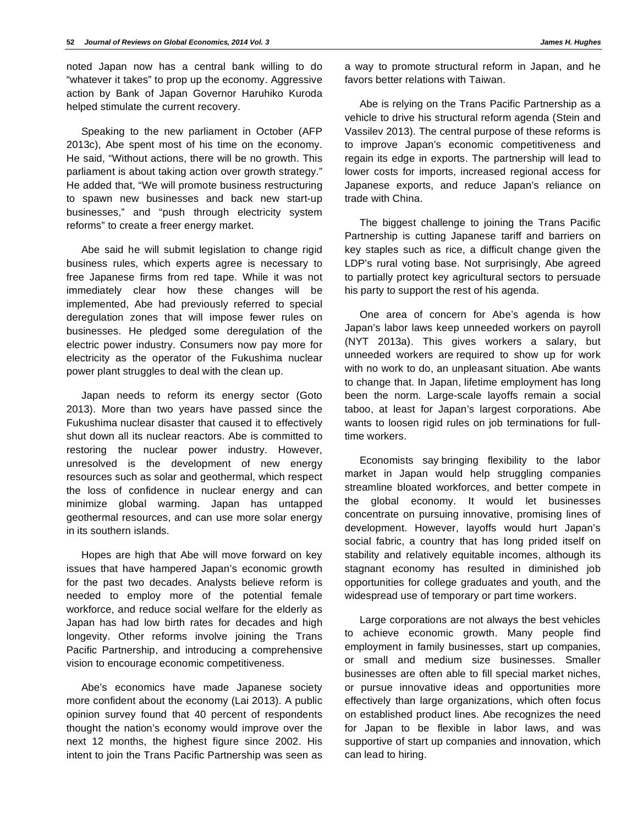noted Japan now has a central bank willing to do "whatever it takes" to prop up the economy. Aggressive action by Bank of Japan Governor Haruhiko Kuroda helped stimulate the current recovery.

Speaking to the new parliament in October (AFP 2013c), Abe spent most of his time on the economy. He said, "Without actions, there will be no growth. This parliament is about taking action over growth strategy." He added that, "We will promote business restructuring to spawn new businesses and back new start-up businesses," and "push through electricity system reforms" to create a freer energy market.

Abe said he will submit legislation to change rigid business rules, which experts agree is necessary to free Japanese firms from red tape. While it was not immediately clear how these changes will be implemented, Abe had previously referred to special deregulation zones that will impose fewer rules on businesses. He pledged some deregulation of the electric power industry. Consumers now pay more for electricity as the operator of the Fukushima nuclear power plant struggles to deal with the clean up.

Japan needs to reform its energy sector (Goto 2013). More than two years have passed since the Fukushima nuclear disaster that caused it to effectively shut down all its nuclear reactors. Abe is committed to restoring the nuclear power industry. However, unresolved is the development of new energy resources such as solar and geothermal, which respect the loss of confidence in nuclear energy and can minimize global warming. Japan has untapped geothermal resources, and can use more solar energy in its southern islands.

Hopes are high that Abe will move forward on key issues that have hampered Japan's economic growth for the past two decades. Analysts believe reform is needed to employ more of the potential female workforce, and reduce social welfare for the elderly as Japan has had low birth rates for decades and high longevity. Other reforms involve joining the Trans Pacific Partnership, and introducing a comprehensive vision to encourage economic competitiveness.

Abe's economics have made Japanese society more confident about the economy (Lai 2013). A public opinion survey found that 40 percent of respondents thought the nation's economy would improve over the next 12 months, the highest figure since 2002. His intent to join the Trans Pacific Partnership was seen as

a way to promote structural reform in Japan, and he favors better relations with Taiwan.

Abe is relying on the Trans Pacific Partnership as a vehicle to drive his structural reform agenda (Stein and Vassilev 2013). The central purpose of these reforms is to improve Japan's economic competitiveness and regain its edge in exports. The partnership will lead to lower costs for imports, increased regional access for Japanese exports, and reduce Japan's reliance on trade with China.

The biggest challenge to joining the Trans Pacific Partnership is cutting Japanese tariff and barriers on key staples such as rice, a difficult change given the LDP's rural voting base. Not surprisingly, Abe agreed to partially protect key agricultural sectors to persuade his party to support the rest of his agenda.

One area of concern for Abe's agenda is how Japan's labor laws keep unneeded workers on payroll (NYT 2013a). This gives workers a salary, but unneeded workers are required to show up for work with no work to do, an unpleasant situation. Abe wants to change that. In Japan, lifetime employment has long been the norm. Large-scale layoffs remain a social taboo, at least for Japan's largest corporations. Abe wants to loosen rigid rules on job terminations for fulltime workers.

Economists say bringing flexibility to the labor market in Japan would help struggling companies streamline bloated workforces, and better compete in the global economy. It would let businesses concentrate on pursuing innovative, promising lines of development. However, layoffs would hurt Japan's social fabric, a country that has long prided itself on stability and relatively equitable incomes, although its stagnant economy has resulted in diminished job opportunities for college graduates and youth, and the widespread use of temporary or part time workers.

Large corporations are not always the best vehicles to achieve economic growth. Many people find employment in family businesses, start up companies, or small and medium size businesses. Smaller businesses are often able to fill special market niches, or pursue innovative ideas and opportunities more effectively than large organizations, which often focus on established product lines. Abe recognizes the need for Japan to be flexible in labor laws, and was supportive of start up companies and innovation, which can lead to hiring.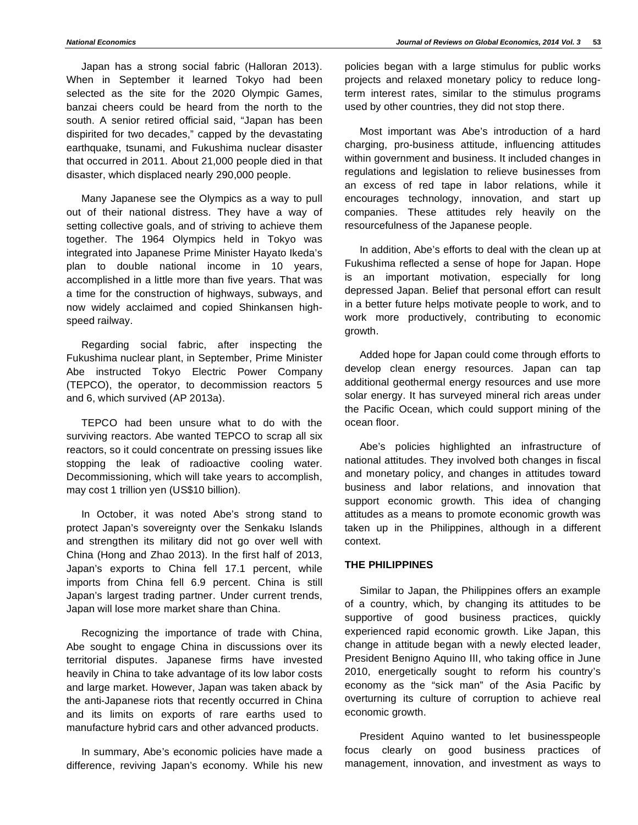Japan has a strong social fabric (Halloran 2013). When in September it learned Tokyo had been selected as the site for the 2020 Olympic Games, banzai cheers could be heard from the north to the south. A senior retired official said, "Japan has been dispirited for two decades," capped by the devastating earthquake, tsunami, and Fukushima nuclear disaster that occurred in 2011. About 21,000 people died in that disaster, which displaced nearly 290,000 people.

Many Japanese see the Olympics as a way to pull out of their national distress. They have a way of setting collective goals, and of striving to achieve them together. The 1964 Olympics held in Tokyo was integrated into Japanese Prime Minister Hayato Ikeda's plan to double national income in 10 years, accomplished in a little more than five years. That was a time for the construction of highways, subways, and now widely acclaimed and copied Shinkansen highspeed railway.

Regarding social fabric, after inspecting the Fukushima nuclear plant, in September, Prime Minister Abe instructed Tokyo Electric Power Company (TEPCO), the operator, to decommission reactors 5 and 6, which survived (AP 2013a).

TEPCO had been unsure what to do with the surviving reactors. Abe wanted TEPCO to scrap all six reactors, so it could concentrate on pressing issues like stopping the leak of radioactive cooling water. Decommissioning, which will take years to accomplish, may cost 1 trillion yen (US\$10 billion).

In October, it was noted Abe's strong stand to protect Japan's sovereignty over the Senkaku Islands and strengthen its military did not go over well with China (Hong and Zhao 2013). In the first half of 2013, Japan's exports to China fell 17.1 percent, while imports from China fell 6.9 percent. China is still Japan's largest trading partner. Under current trends, Japan will lose more market share than China.

Recognizing the importance of trade with China, Abe sought to engage China in discussions over its territorial disputes. Japanese firms have invested heavily in China to take advantage of its low labor costs and large market. However, Japan was taken aback by the anti-Japanese riots that recently occurred in China and its limits on exports of rare earths used to manufacture hybrid cars and other advanced products.

In summary, Abe's economic policies have made a difference, reviving Japan's economy. While his new policies began with a large stimulus for public works projects and relaxed monetary policy to reduce longterm interest rates, similar to the stimulus programs used by other countries, they did not stop there.

Most important was Abe's introduction of a hard charging, pro-business attitude, influencing attitudes within government and business. It included changes in regulations and legislation to relieve businesses from an excess of red tape in labor relations, while it encourages technology, innovation, and start up companies. These attitudes rely heavily on the resourcefulness of the Japanese people.

In addition, Abe's efforts to deal with the clean up at Fukushima reflected a sense of hope for Japan. Hope is an important motivation, especially for long depressed Japan. Belief that personal effort can result in a better future helps motivate people to work, and to work more productively, contributing to economic growth.

Added hope for Japan could come through efforts to develop clean energy resources. Japan can tap additional geothermal energy resources and use more solar energy. It has surveyed mineral rich areas under the Pacific Ocean, which could support mining of the ocean floor.

Abe's policies highlighted an infrastructure of national attitudes. They involved both changes in fiscal and monetary policy, and changes in attitudes toward business and labor relations, and innovation that support economic growth. This idea of changing attitudes as a means to promote economic growth was taken up in the Philippines, although in a different context.

## **THE PHILIPPINES**

Similar to Japan, the Philippines offers an example of a country, which, by changing its attitudes to be supportive of good business practices, quickly experienced rapid economic growth. Like Japan, this change in attitude began with a newly elected leader, President Benigno Aquino III, who taking office in June 2010, energetically sought to reform his country's economy as the "sick man" of the Asia Pacific by overturning its culture of corruption to achieve real economic growth.

President Aquino wanted to let businesspeople focus clearly on good business practices of management, innovation, and investment as ways to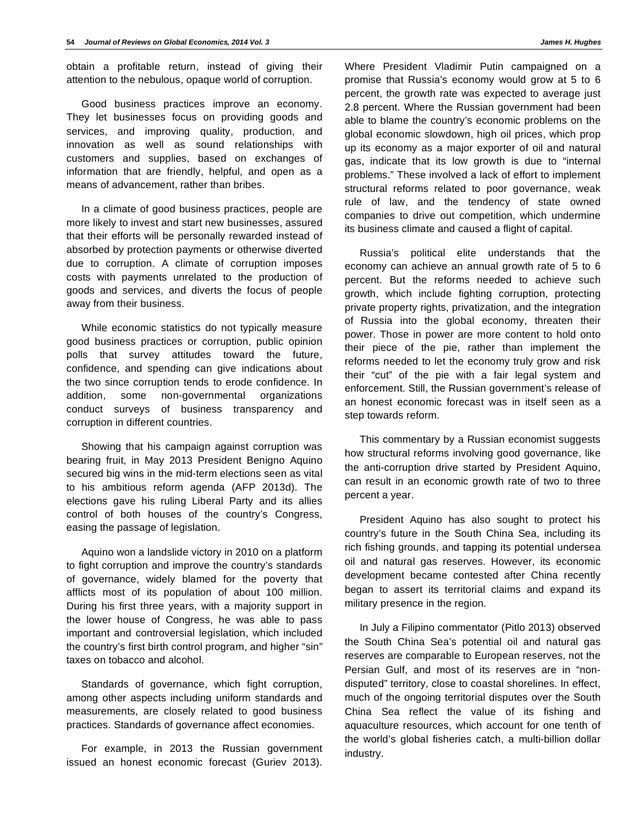obtain a profitable return, instead of giving their attention to the nebulous, opaque world of corruption.

Good business practices improve an economy. They let businesses focus on providing goods and services, and improving quality, production, and innovation as well as sound relationships with customers and supplies, based on exchanges of information that are friendly, helpful, and open as a means of advancement, rather than bribes.

In a climate of good business practices, people are more likely to invest and start new businesses, assured that their efforts will be personally rewarded instead of absorbed by protection payments or otherwise diverted due to corruption. A climate of corruption imposes costs with payments unrelated to the production of goods and services, and diverts the focus of people away from their business.

While economic statistics do not typically measure good business practices or corruption, public opinion polls that survey attitudes toward the future, confidence, and spending can give indications about the two since corruption tends to erode confidence. In addition, some non-governmental organizations conduct surveys of business transparency and corruption in different countries.

Showing that his campaign against corruption was bearing fruit, in May 2013 President Benigno Aquino secured big wins in the mid-term elections seen as vital to his ambitious reform agenda (AFP 2013d). The elections gave his ruling Liberal Party and its allies control of both houses of the country's Congress, easing the passage of legislation.

Aquino won a landslide victory in 2010 on a platform to fight corruption and improve the country's standards of governance, widely blamed for the poverty that afflicts most of its population of about 100 million. During his first three years, with a majority support in the lower house of Congress, he was able to pass important and controversial legislation, which included the country's first birth control program, and higher "sin" taxes on tobacco and alcohol.

Standards of governance, which fight corruption, among other aspects including uniform standards and measurements, are closely related to good business practices. Standards of governance affect economies.

For example, in 2013 the Russian government issued an honest economic forecast (Guriev 2013).

Where President Vladimir Putin campaigned on a promise that Russia's economy would grow at 5 to 6 percent, the growth rate was expected to average just 2.8 percent. Where the Russian government had been able to blame the country's economic problems on the global economic slowdown, high oil prices, which prop up its economy as a major exporter of oil and natural gas, indicate that its low growth is due to "internal problems." These involved a lack of effort to implement structural reforms related to poor governance, weak rule of law, and the tendency of state owned companies to drive out competition, which undermine its business climate and caused a flight of capital.

Russia's political elite understands that the economy can achieve an annual growth rate of 5 to 6 percent. But the reforms needed to achieve such growth, which include fighting corruption, protecting private property rights, privatization, and the integration of Russia into the global economy, threaten their power. Those in power are more content to hold onto their piece of the pie, rather than implement the reforms needed to let the economy truly grow and risk their "cut" of the pie with a fair legal system and enforcement. Still, the Russian government's release of an honest economic forecast was in itself seen as a step towards reform.

This commentary by a Russian economist suggests how structural reforms involving good governance, like the anti-corruption drive started by President Aquino, can result in an economic growth rate of two to three percent a year.

President Aquino has also sought to protect his country's future in the South China Sea, including its rich fishing grounds, and tapping its potential undersea oil and natural gas reserves. However, its economic development became contested after China recently began to assert its territorial claims and expand its military presence in the region.

In July a Filipino commentator (Pitlo 2013) observed the South China Sea's potential oil and natural gas reserves are comparable to European reserves, not the Persian Gulf, and most of its reserves are in "nondisputed" territory, close to coastal shorelines. In effect, much of the ongoing territorial disputes over the South China Sea reflect the value of its fishing and aquaculture resources, which account for one tenth of the world's global fisheries catch, a multi-billion dollar industry.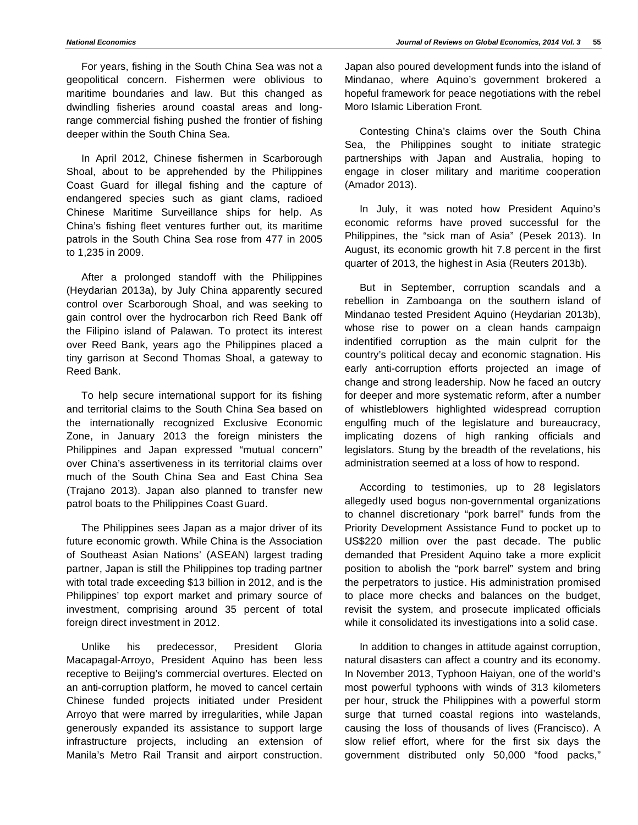For years, fishing in the South China Sea was not a geopolitical concern. Fishermen were oblivious to maritime boundaries and law. But this changed as dwindling fisheries around coastal areas and longrange commercial fishing pushed the frontier of fishing deeper within the South China Sea.

In April 2012, Chinese fishermen in Scarborough Shoal, about to be apprehended by the Philippines Coast Guard for illegal fishing and the capture of endangered species such as giant clams, radioed Chinese Maritime Surveillance ships for help. As China's fishing fleet ventures further out, its maritime patrols in the South China Sea rose from 477 in 2005 to 1,235 in 2009.

After a prolonged standoff with the Philippines (Heydarian 2013a), by July China apparently secured control over Scarborough Shoal, and was seeking to gain control over the hydrocarbon rich Reed Bank off the Filipino island of Palawan. To protect its interest over Reed Bank, years ago the Philippines placed a tiny garrison at Second Thomas Shoal, a gateway to Reed Bank.

To help secure international support for its fishing and territorial claims to the South China Sea based on the internationally recognized Exclusive Economic Zone, in January 2013 the foreign ministers the Philippines and Japan expressed "mutual concern" over China's assertiveness in its territorial claims over much of the South China Sea and East China Sea (Trajano 2013). Japan also planned to transfer new patrol boats to the Philippines Coast Guard.

The Philippines sees Japan as a major driver of its future economic growth. While China is the Association of Southeast Asian Nations' (ASEAN) largest trading partner, Japan is still the Philippines top trading partner with total trade exceeding \$13 billion in 2012, and is the Philippines' top export market and primary source of investment, comprising around 35 percent of total foreign direct investment in 2012.

Unlike his predecessor, President Gloria Macapagal-Arroyo, President Aquino has been less receptive to Beijing's commercial overtures. Elected on an anti-corruption platform, he moved to cancel certain Chinese funded projects initiated under President Arroyo that were marred by irregularities, while Japan generously expanded its assistance to support large infrastructure projects, including an extension of Manila's Metro Rail Transit and airport construction.

Japan also poured development funds into the island of Mindanao, where Aquino's government brokered a hopeful framework for peace negotiations with the rebel Moro Islamic Liberation Front.

Contesting China's claims over the South China Sea, the Philippines sought to initiate strategic partnerships with Japan and Australia, hoping to engage in closer military and maritime cooperation (Amador 2013).

In July, it was noted how President Aquino's economic reforms have proved successful for the Philippines, the "sick man of Asia" (Pesek 2013). In August, its economic growth hit 7.8 percent in the first quarter of 2013, the highest in Asia (Reuters 2013b).

But in September, corruption scandals and a rebellion in Zamboanga on the southern island of Mindanao tested President Aquino (Heydarian 2013b), whose rise to power on a clean hands campaign indentified corruption as the main culprit for the country's political decay and economic stagnation. His early anti-corruption efforts projected an image of change and strong leadership. Now he faced an outcry for deeper and more systematic reform, after a number of whistleblowers highlighted widespread corruption engulfing much of the legislature and bureaucracy, implicating dozens of high ranking officials and legislators. Stung by the breadth of the revelations, his administration seemed at a loss of how to respond.

According to testimonies, up to 28 legislators allegedly used bogus non-governmental organizations to channel discretionary "pork barrel" funds from the Priority Development Assistance Fund to pocket up to US\$220 million over the past decade. The public demanded that President Aquino take a more explicit position to abolish the "pork barrel" system and bring the perpetrators to justice. His administration promised to place more checks and balances on the budget, revisit the system, and prosecute implicated officials while it consolidated its investigations into a solid case.

In addition to changes in attitude against corruption, natural disasters can affect a country and its economy. In November 2013, Typhoon Haiyan, one of the world's most powerful typhoons with winds of 313 kilometers per hour, struck the Philippines with a powerful storm surge that turned coastal regions into wastelands, causing the loss of thousands of lives (Francisco). A slow relief effort, where for the first six days the government distributed only 50,000 "food packs,"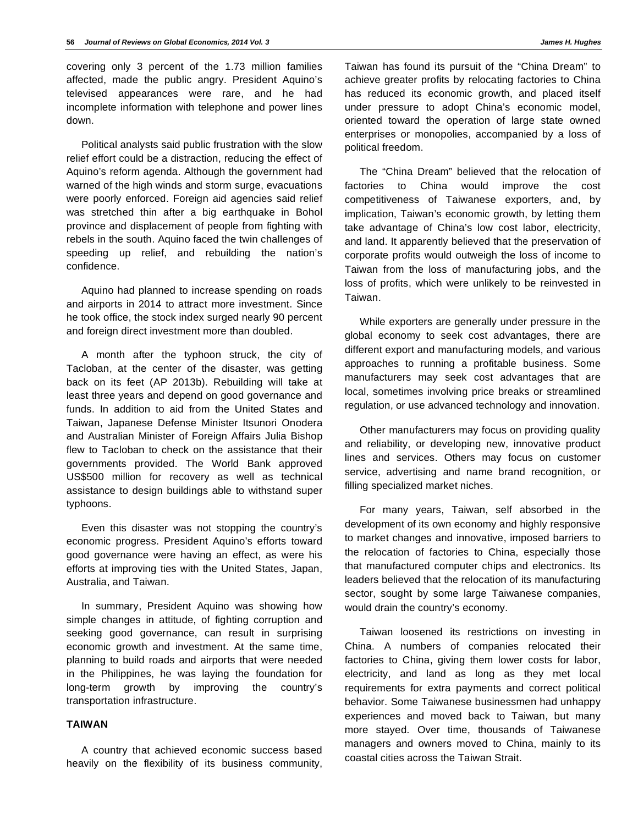covering only 3 percent of the 1.73 million families affected, made the public angry. President Aquino's televised appearances were rare, and he had incomplete information with telephone and power lines down.

Political analysts said public frustration with the slow relief effort could be a distraction, reducing the effect of Aquino's reform agenda. Although the government had warned of the high winds and storm surge, evacuations were poorly enforced. Foreign aid agencies said relief was stretched thin after a big earthquake in Bohol province and displacement of people from fighting with rebels in the south. Aquino faced the twin challenges of speeding up relief, and rebuilding the nation's confidence.

Aquino had planned to increase spending on roads and airports in 2014 to attract more investment. Since he took office, the stock index surged nearly 90 percent and foreign direct investment more than doubled.

A month after the typhoon struck, the city of Tacloban, at the center of the disaster, was getting back on its feet (AP 2013b). Rebuilding will take at least three years and depend on good governance and funds. In addition to aid from the United States and Taiwan, Japanese Defense Minister Itsunori Onodera and Australian Minister of Foreign Affairs Julia Bishop flew to Tacloban to check on the assistance that their governments provided. The World Bank approved US\$500 million for recovery as well as technical assistance to design buildings able to withstand super typhoons.

Even this disaster was not stopping the country's economic progress. President Aquino's efforts toward good governance were having an effect, as were his efforts at improving ties with the United States, Japan, Australia, and Taiwan.

In summary, President Aquino was showing how simple changes in attitude, of fighting corruption and seeking good governance, can result in surprising economic growth and investment. At the same time, planning to build roads and airports that were needed in the Philippines, he was laying the foundation for long-term growth by improving the country's transportation infrastructure.

#### **TAIWAN**

A country that achieved economic success based heavily on the flexibility of its business community,

Taiwan has found its pursuit of the "China Dream" to achieve greater profits by relocating factories to China has reduced its economic growth, and placed itself under pressure to adopt China's economic model, oriented toward the operation of large state owned enterprises or monopolies, accompanied by a loss of political freedom.

The "China Dream" believed that the relocation of factories to China would improve the cost competitiveness of Taiwanese exporters, and, by implication, Taiwan's economic growth, by letting them take advantage of China's low cost labor, electricity, and land. It apparently believed that the preservation of corporate profits would outweigh the loss of income to Taiwan from the loss of manufacturing jobs, and the loss of profits, which were unlikely to be reinvested in Taiwan.

While exporters are generally under pressure in the global economy to seek cost advantages, there are different export and manufacturing models, and various approaches to running a profitable business. Some manufacturers may seek cost advantages that are local, sometimes involving price breaks or streamlined regulation, or use advanced technology and innovation.

Other manufacturers may focus on providing quality and reliability, or developing new, innovative product lines and services. Others may focus on customer service, advertising and name brand recognition, or filling specialized market niches.

For many years, Taiwan, self absorbed in the development of its own economy and highly responsive to market changes and innovative, imposed barriers to the relocation of factories to China, especially those that manufactured computer chips and electronics. Its leaders believed that the relocation of its manufacturing sector, sought by some large Taiwanese companies, would drain the country's economy.

Taiwan loosened its restrictions on investing in China. A numbers of companies relocated their factories to China, giving them lower costs for labor, electricity, and land as long as they met local requirements for extra payments and correct political behavior. Some Taiwanese businessmen had unhappy experiences and moved back to Taiwan, but many more stayed. Over time, thousands of Taiwanese managers and owners moved to China, mainly to its coastal cities across the Taiwan Strait.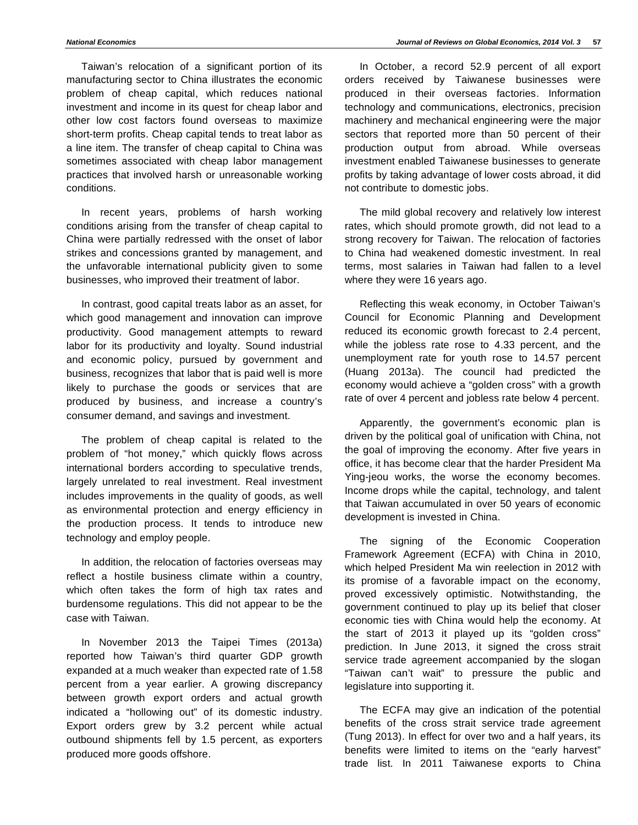Taiwan's relocation of a significant portion of its manufacturing sector to China illustrates the economic problem of cheap capital, which reduces national investment and income in its quest for cheap labor and other low cost factors found overseas to maximize short-term profits. Cheap capital tends to treat labor as a line item. The transfer of cheap capital to China was sometimes associated with cheap labor management practices that involved harsh or unreasonable working conditions.

In recent years, problems of harsh working conditions arising from the transfer of cheap capital to China were partially redressed with the onset of labor strikes and concessions granted by management, and the unfavorable international publicity given to some businesses, who improved their treatment of labor.

In contrast, good capital treats labor as an asset, for which good management and innovation can improve productivity. Good management attempts to reward labor for its productivity and loyalty. Sound industrial and economic policy, pursued by government and business, recognizes that labor that is paid well is more likely to purchase the goods or services that are produced by business, and increase a country's consumer demand, and savings and investment.

The problem of cheap capital is related to the problem of "hot money," which quickly flows across international borders according to speculative trends, largely unrelated to real investment. Real investment includes improvements in the quality of goods, as well as environmental protection and energy efficiency in the production process. It tends to introduce new technology and employ people.

In addition, the relocation of factories overseas may reflect a hostile business climate within a country, which often takes the form of high tax rates and burdensome regulations. This did not appear to be the case with Taiwan.

In November 2013 the Taipei Times (2013a) reported how Taiwan's third quarter GDP growth expanded at a much weaker than expected rate of 1.58 percent from a year earlier. A growing discrepancy between growth export orders and actual growth indicated a "hollowing out" of its domestic industry. Export orders grew by 3.2 percent while actual outbound shipments fell by 1.5 percent, as exporters produced more goods offshore.

In October, a record 52.9 percent of all export orders received by Taiwanese businesses were produced in their overseas factories. Information technology and communications, electronics, precision machinery and mechanical engineering were the major sectors that reported more than 50 percent of their production output from abroad. While overseas investment enabled Taiwanese businesses to generate profits by taking advantage of lower costs abroad, it did not contribute to domestic jobs.

The mild global recovery and relatively low interest rates, which should promote growth, did not lead to a strong recovery for Taiwan. The relocation of factories to China had weakened domestic investment. In real terms, most salaries in Taiwan had fallen to a level where they were 16 years ago.

Reflecting this weak economy, in October Taiwan's Council for Economic Planning and Development reduced its economic growth forecast to 2.4 percent, while the jobless rate rose to 4.33 percent, and the unemployment rate for youth rose to 14.57 percent (Huang 2013a). The council had predicted the economy would achieve a "golden cross" with a growth rate of over 4 percent and jobless rate below 4 percent.

Apparently, the government's economic plan is driven by the political goal of unification with China, not the goal of improving the economy. After five years in office, it has become clear that the harder President Ma Ying-jeou works, the worse the economy becomes. Income drops while the capital, technology, and talent that Taiwan accumulated in over 50 years of economic development is invested in China.

The signing of the Economic Cooperation Framework Agreement (ECFA) with China in 2010, which helped President Ma win reelection in 2012 with its promise of a favorable impact on the economy, proved excessively optimistic. Notwithstanding, the government continued to play up its belief that closer economic ties with China would help the economy. At the start of 2013 it played up its "golden cross" prediction. In June 2013, it signed the cross strait service trade agreement accompanied by the slogan "Taiwan can't wait" to pressure the public and legislature into supporting it.

The ECFA may give an indication of the potential benefits of the cross strait service trade agreement (Tung 2013). In effect for over two and a half years, its benefits were limited to items on the "early harvest" trade list. In 2011 Taiwanese exports to China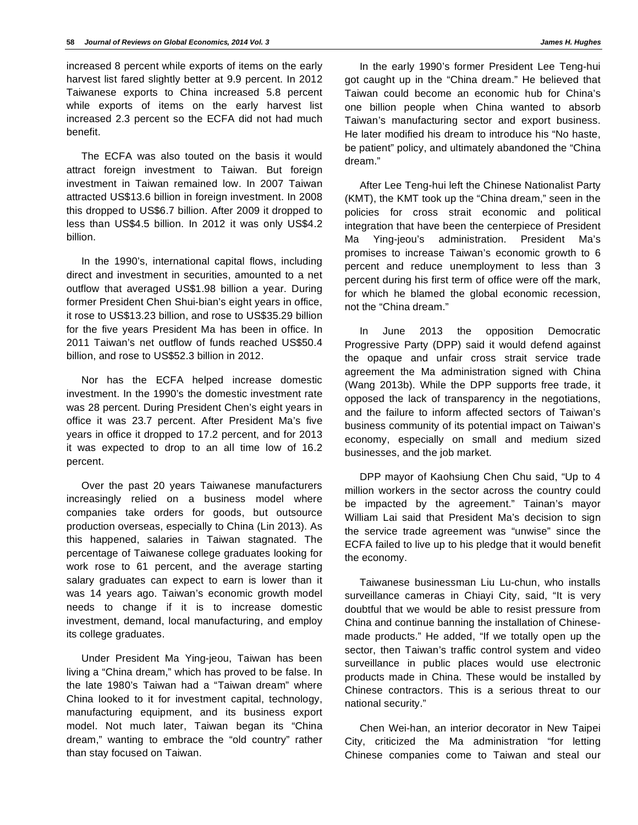increased 8 percent while exports of items on the early harvest list fared slightly better at 9.9 percent. In 2012 Taiwanese exports to China increased 5.8 percent while exports of items on the early harvest list increased 2.3 percent so the ECFA did not had much benefit.

The ECFA was also touted on the basis it would attract foreign investment to Taiwan. But foreign investment in Taiwan remained low. In 2007 Taiwan attracted US\$13.6 billion in foreign investment. In 2008 this dropped to US\$6.7 billion. After 2009 it dropped to less than US\$4.5 billion. In 2012 it was only US\$4.2 billion.

In the 1990's, international capital flows, including direct and investment in securities, amounted to a net outflow that averaged US\$1.98 billion a year. During former President Chen Shui-bian's eight years in office, it rose to US\$13.23 billion, and rose to US\$35.29 billion for the five years President Ma has been in office. In 2011 Taiwan's net outflow of funds reached US\$50.4 billion, and rose to US\$52.3 billion in 2012.

Nor has the ECFA helped increase domestic investment. In the 1990's the domestic investment rate was 28 percent. During President Chen's eight years in office it was 23.7 percent. After President Ma's five years in office it dropped to 17.2 percent, and for 2013 it was expected to drop to an all time low of 16.2 percent.

Over the past 20 years Taiwanese manufacturers increasingly relied on a business model where companies take orders for goods, but outsource production overseas, especially to China (Lin 2013). As this happened, salaries in Taiwan stagnated. The percentage of Taiwanese college graduates looking for work rose to 61 percent, and the average starting salary graduates can expect to earn is lower than it was 14 years ago. Taiwan's economic growth model needs to change if it is to increase domestic investment, demand, local manufacturing, and employ its college graduates.

Under President Ma Ying-jeou, Taiwan has been living a "China dream," which has proved to be false. In the late 1980's Taiwan had a "Taiwan dream" where China looked to it for investment capital, technology, manufacturing equipment, and its business export model. Not much later, Taiwan began its "China dream," wanting to embrace the "old country" rather than stay focused on Taiwan.

In the early 1990's former President Lee Teng-hui got caught up in the "China dream." He believed that Taiwan could become an economic hub for China's one billion people when China wanted to absorb Taiwan's manufacturing sector and export business. He later modified his dream to introduce his "No haste, be patient" policy, and ultimately abandoned the "China dream."

After Lee Teng-hui left the Chinese Nationalist Party (KMT), the KMT took up the "China dream," seen in the policies for cross strait economic and political integration that have been the centerpiece of President Ma Ying-jeou's administration. President Ma's promises to increase Taiwan's economic growth to 6 percent and reduce unemployment to less than 3 percent during his first term of office were off the mark, for which he blamed the global economic recession, not the "China dream."

In June 2013 the opposition Democratic Progressive Party (DPP) said it would defend against the opaque and unfair cross strait service trade agreement the Ma administration signed with China (Wang 2013b). While the DPP supports free trade, it opposed the lack of transparency in the negotiations, and the failure to inform affected sectors of Taiwan's business community of its potential impact on Taiwan's economy, especially on small and medium sized businesses, and the job market.

DPP mayor of Kaohsiung Chen Chu said, "Up to 4 million workers in the sector across the country could be impacted by the agreement." Tainan's mayor William Lai said that President Ma's decision to sign the service trade agreement was "unwise" since the ECFA failed to live up to his pledge that it would benefit the economy.

Taiwanese businessman Liu Lu-chun, who installs surveillance cameras in Chiayi City, said, "It is very doubtful that we would be able to resist pressure from China and continue banning the installation of Chinesemade products." He added, "If we totally open up the sector, then Taiwan's traffic control system and video surveillance in public places would use electronic products made in China. These would be installed by Chinese contractors. This is a serious threat to our national security."

Chen Wei-han, an interior decorator in New Taipei City, criticized the Ma administration "for letting Chinese companies come to Taiwan and steal our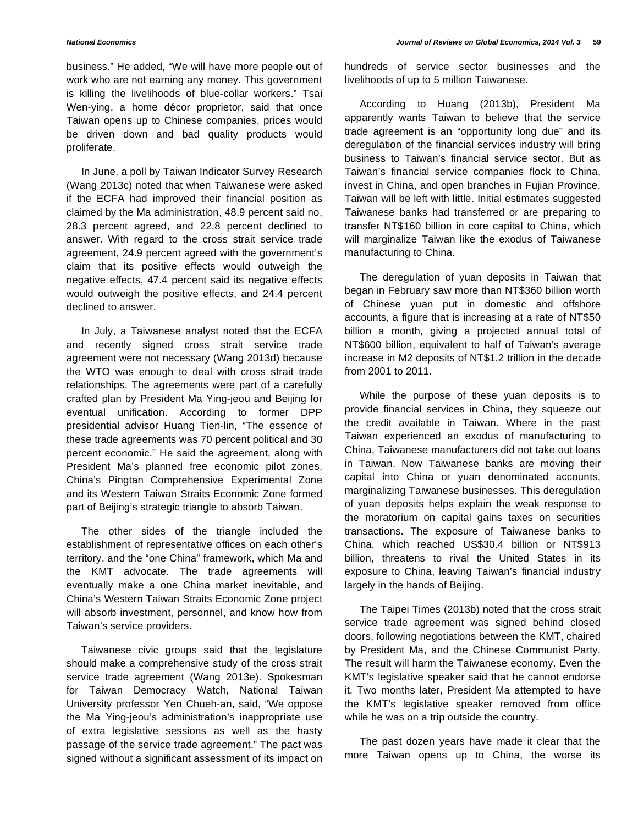business." He added, "We will have more people out of work who are not earning any money. This government is killing the livelihoods of blue-collar workers." Tsai Wen-ying, a home décor proprietor, said that once Taiwan opens up to Chinese companies, prices would be driven down and bad quality products would proliferate.

In June, a poll by Taiwan Indicator Survey Research (Wang 2013c) noted that when Taiwanese were asked if the ECFA had improved their financial position as claimed by the Ma administration, 48.9 percent said no, 28.3 percent agreed, and 22.8 percent declined to answer. With regard to the cross strait service trade agreement, 24.9 percent agreed with the government's claim that its positive effects would outweigh the negative effects, 47.4 percent said its negative effects would outweigh the positive effects, and 24.4 percent declined to answer.

In July, a Taiwanese analyst noted that the ECFA and recently signed cross strait service trade agreement were not necessary (Wang 2013d) because the WTO was enough to deal with cross strait trade relationships. The agreements were part of a carefully crafted plan by President Ma Ying-jeou and Beijing for eventual unification. According to former DPP presidential advisor Huang Tien-lin, "The essence of these trade agreements was 70 percent political and 30 percent economic." He said the agreement, along with President Ma's planned free economic pilot zones, China's Pingtan Comprehensive Experimental Zone and its Western Taiwan Straits Economic Zone formed part of Beijing's strategic triangle to absorb Taiwan.

The other sides of the triangle included the establishment of representative offices on each other's territory, and the "one China" framework, which Ma and the KMT advocate. The trade agreements will eventually make a one China market inevitable, and China's Western Taiwan Straits Economic Zone project will absorb investment, personnel, and know how from Taiwan's service providers.

Taiwanese civic groups said that the legislature should make a comprehensive study of the cross strait service trade agreement (Wang 2013e). Spokesman for Taiwan Democracy Watch, National Taiwan University professor Yen Chueh-an, said, "We oppose the Ma Ying-jeou's administration's inappropriate use of extra legislative sessions as well as the hasty passage of the service trade agreement." The pact was signed without a significant assessment of its impact on hundreds of service sector businesses and the livelihoods of up to 5 million Taiwanese.

According to Huang (2013b), President Ma apparently wants Taiwan to believe that the service trade agreement is an "opportunity long due" and its deregulation of the financial services industry will bring business to Taiwan's financial service sector. But as Taiwan's financial service companies flock to China, invest in China, and open branches in Fujian Province, Taiwan will be left with little. Initial estimates suggested Taiwanese banks had transferred or are preparing to transfer NT\$160 billion in core capital to China, which will marginalize Taiwan like the exodus of Taiwanese manufacturing to China.

The deregulation of yuan deposits in Taiwan that began in February saw more than NT\$360 billion worth of Chinese yuan put in domestic and offshore accounts, a figure that is increasing at a rate of NT\$50 billion a month, giving a projected annual total of NT\$600 billion, equivalent to half of Taiwan's average increase in M2 deposits of NT\$1.2 trillion in the decade from 2001 to 2011.

While the purpose of these yuan deposits is to provide financial services in China, they squeeze out the credit available in Taiwan. Where in the past Taiwan experienced an exodus of manufacturing to China, Taiwanese manufacturers did not take out loans in Taiwan. Now Taiwanese banks are moving their capital into China or yuan denominated accounts, marginalizing Taiwanese businesses. This deregulation of yuan deposits helps explain the weak response to the moratorium on capital gains taxes on securities transactions. The exposure of Taiwanese banks to China, which reached US\$30.4 billion or NT\$913 billion, threatens to rival the United States in its exposure to China, leaving Taiwan's financial industry largely in the hands of Beijing.

The Taipei Times (2013b) noted that the cross strait service trade agreement was signed behind closed doors, following negotiations between the KMT, chaired by President Ma, and the Chinese Communist Party. The result will harm the Taiwanese economy. Even the KMT's legislative speaker said that he cannot endorse it. Two months later, President Ma attempted to have the KMT's legislative speaker removed from office while he was on a trip outside the country.

The past dozen years have made it clear that the more Taiwan opens up to China, the worse its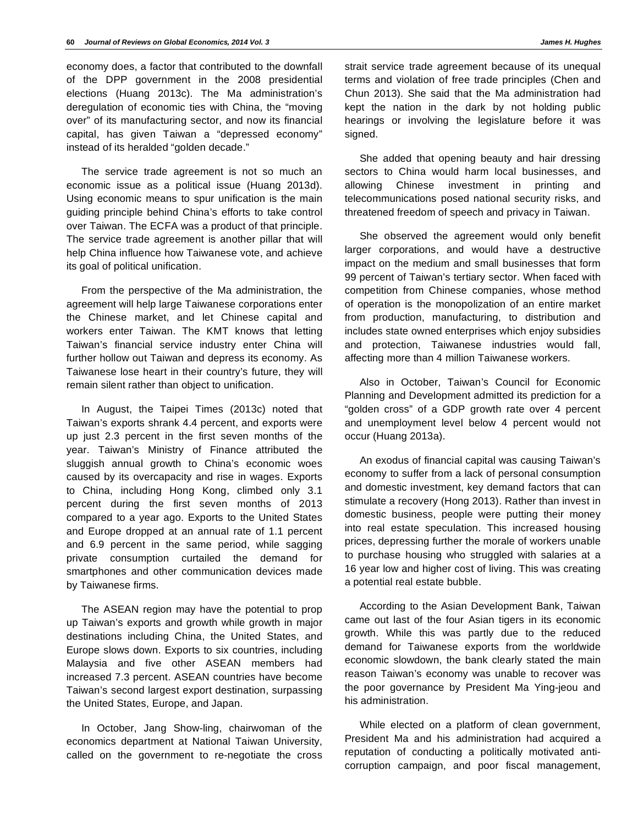economy does, a factor that contributed to the downfall of the DPP government in the 2008 presidential elections (Huang 2013c). The Ma administration's deregulation of economic ties with China, the "moving over" of its manufacturing sector, and now its financial capital, has given Taiwan a "depressed economy" instead of its heralded "golden decade."

The service trade agreement is not so much an economic issue as a political issue (Huang 2013d). Using economic means to spur unification is the main guiding principle behind China's efforts to take control over Taiwan. The ECFA was a product of that principle. The service trade agreement is another pillar that will help China influence how Taiwanese vote, and achieve its goal of political unification.

From the perspective of the Ma administration, the agreement will help large Taiwanese corporations enter the Chinese market, and let Chinese capital and workers enter Taiwan. The KMT knows that letting Taiwan's financial service industry enter China will further hollow out Taiwan and depress its economy. As Taiwanese lose heart in their country's future, they will remain silent rather than object to unification.

In August, the Taipei Times (2013c) noted that Taiwan's exports shrank 4.4 percent, and exports were up just 2.3 percent in the first seven months of the year. Taiwan's Ministry of Finance attributed the sluggish annual growth to China's economic woes caused by its overcapacity and rise in wages. Exports to China, including Hong Kong, climbed only 3.1 percent during the first seven months of 2013 compared to a year ago. Exports to the United States and Europe dropped at an annual rate of 1.1 percent and 6.9 percent in the same period, while sagging private consumption curtailed the demand for smartphones and other communication devices made by Taiwanese firms.

The ASEAN region may have the potential to prop up Taiwan's exports and growth while growth in major destinations including China, the United States, and Europe slows down. Exports to six countries, including Malaysia and five other ASEAN members had increased 7.3 percent. ASEAN countries have become Taiwan's second largest export destination, surpassing the United States, Europe, and Japan.

In October, Jang Show-ling, chairwoman of the economics department at National Taiwan University, called on the government to re-negotiate the cross

strait service trade agreement because of its unequal terms and violation of free trade principles (Chen and Chun 2013). She said that the Ma administration had kept the nation in the dark by not holding public hearings or involving the legislature before it was signed.

She added that opening beauty and hair dressing sectors to China would harm local businesses, and allowing Chinese investment in printing and telecommunications posed national security risks, and threatened freedom of speech and privacy in Taiwan.

She observed the agreement would only benefit larger corporations, and would have a destructive impact on the medium and small businesses that form 99 percent of Taiwan's tertiary sector. When faced with competition from Chinese companies, whose method of operation is the monopolization of an entire market from production, manufacturing, to distribution and includes state owned enterprises which enjoy subsidies and protection, Taiwanese industries would fall, affecting more than 4 million Taiwanese workers.

Also in October, Taiwan's Council for Economic Planning and Development admitted its prediction for a "golden cross" of a GDP growth rate over 4 percent and unemployment level below 4 percent would not occur (Huang 2013a).

An exodus of financial capital was causing Taiwan's economy to suffer from a lack of personal consumption and domestic investment, key demand factors that can stimulate a recovery (Hong 2013). Rather than invest in domestic business, people were putting their money into real estate speculation. This increased housing prices, depressing further the morale of workers unable to purchase housing who struggled with salaries at a 16 year low and higher cost of living. This was creating a potential real estate bubble.

According to the Asian Development Bank, Taiwan came out last of the four Asian tigers in its economic growth. While this was partly due to the reduced demand for Taiwanese exports from the worldwide economic slowdown, the bank clearly stated the main reason Taiwan's economy was unable to recover was the poor governance by President Ma Ying-jeou and his administration.

While elected on a platform of clean government, President Ma and his administration had acquired a reputation of conducting a politically motivated anticorruption campaign, and poor fiscal management,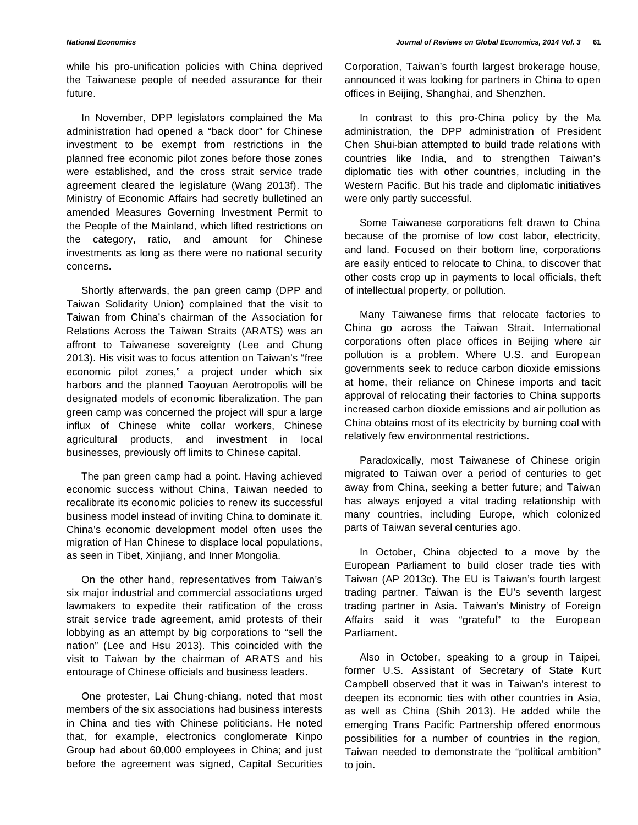while his pro-unification policies with China deprived the Taiwanese people of needed assurance for their future.

In November, DPP legislators complained the Ma administration had opened a "back door" for Chinese investment to be exempt from restrictions in the planned free economic pilot zones before those zones were established, and the cross strait service trade agreement cleared the legislature (Wang 2013f). The Ministry of Economic Affairs had secretly bulletined an amended Measures Governing Investment Permit to the People of the Mainland, which lifted restrictions on the category, ratio, and amount for Chinese investments as long as there were no national security concerns.

Shortly afterwards, the pan green camp (DPP and Taiwan Solidarity Union) complained that the visit to Taiwan from China's chairman of the Association for Relations Across the Taiwan Straits (ARATS) was an affront to Taiwanese sovereignty (Lee and Chung 2013). His visit was to focus attention on Taiwan's "free economic pilot zones," a project under which six harbors and the planned Taoyuan Aerotropolis will be designated models of economic liberalization. The pan green camp was concerned the project will spur a large influx of Chinese white collar workers, Chinese agricultural products, and investment in local businesses, previously off limits to Chinese capital.

The pan green camp had a point. Having achieved economic success without China, Taiwan needed to recalibrate its economic policies to renew its successful business model instead of inviting China to dominate it. China's economic development model often uses the migration of Han Chinese to displace local populations, as seen in Tibet, Xinjiang, and Inner Mongolia.

On the other hand, representatives from Taiwan's six major industrial and commercial associations urged lawmakers to expedite their ratification of the cross strait service trade agreement, amid protests of their lobbying as an attempt by big corporations to "sell the nation" (Lee and Hsu 2013). This coincided with the visit to Taiwan by the chairman of ARATS and his entourage of Chinese officials and business leaders.

One protester, Lai Chung-chiang, noted that most members of the six associations had business interests in China and ties with Chinese politicians. He noted that, for example, electronics conglomerate Kinpo Group had about 60,000 employees in China; and just before the agreement was signed, Capital Securities

Corporation, Taiwan's fourth largest brokerage house, announced it was looking for partners in China to open offices in Beijing, Shanghai, and Shenzhen.

In contrast to this pro-China policy by the Ma administration, the DPP administration of President Chen Shui-bian attempted to build trade relations with countries like India, and to strengthen Taiwan's diplomatic ties with other countries, including in the Western Pacific. But his trade and diplomatic initiatives were only partly successful.

Some Taiwanese corporations felt drawn to China because of the promise of low cost labor, electricity, and land. Focused on their bottom line, corporations are easily enticed to relocate to China, to discover that other costs crop up in payments to local officials, theft of intellectual property, or pollution.

Many Taiwanese firms that relocate factories to China go across the Taiwan Strait. International corporations often place offices in Beijing where air pollution is a problem. Where U.S. and European governments seek to reduce carbon dioxide emissions at home, their reliance on Chinese imports and tacit approval of relocating their factories to China supports increased carbon dioxide emissions and air pollution as China obtains most of its electricity by burning coal with relatively few environmental restrictions.

Paradoxically, most Taiwanese of Chinese origin migrated to Taiwan over a period of centuries to get away from China, seeking a better future; and Taiwan has always enjoyed a vital trading relationship with many countries, including Europe, which colonized parts of Taiwan several centuries ago.

In October, China objected to a move by the European Parliament to build closer trade ties with Taiwan (AP 2013c). The EU is Taiwan's fourth largest trading partner. Taiwan is the EU's seventh largest trading partner in Asia. Taiwan's Ministry of Foreign Affairs said it was "grateful" to the European Parliament.

Also in October, speaking to a group in Taipei, former U.S. Assistant of Secretary of State Kurt Campbell observed that it was in Taiwan's interest to deepen its economic ties with other countries in Asia, as well as China (Shih 2013). He added while the emerging Trans Pacific Partnership offered enormous possibilities for a number of countries in the region, Taiwan needed to demonstrate the "political ambition" to join.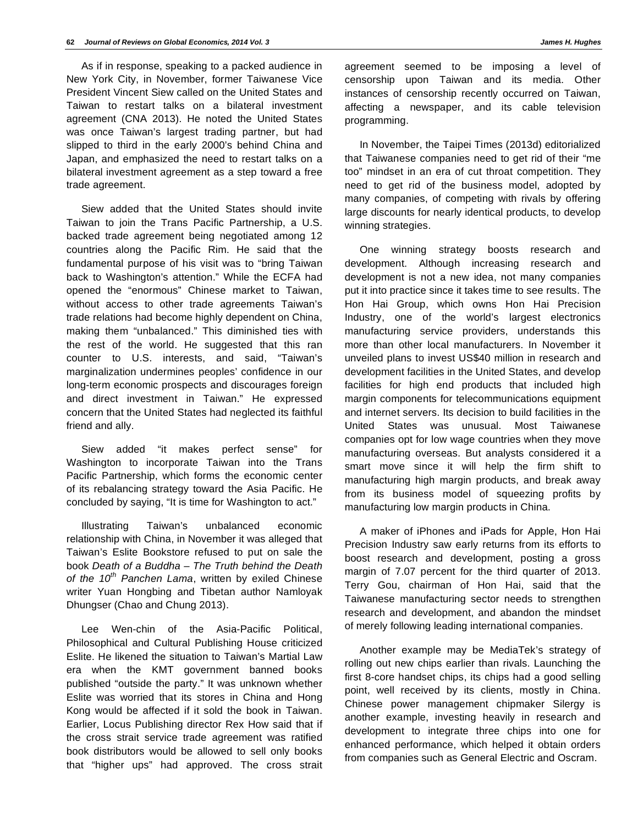As if in response, speaking to a packed audience in New York City, in November, former Taiwanese Vice President Vincent Siew called on the United States and Taiwan to restart talks on a bilateral investment agreement (CNA 2013). He noted the United States was once Taiwan's largest trading partner, but had slipped to third in the early 2000's behind China and Japan, and emphasized the need to restart talks on a bilateral investment agreement as a step toward a free trade agreement.

Siew added that the United States should invite Taiwan to join the Trans Pacific Partnership, a U.S. backed trade agreement being negotiated among 12 countries along the Pacific Rim. He said that the fundamental purpose of his visit was to "bring Taiwan back to Washington's attention." While the ECFA had opened the "enormous" Chinese market to Taiwan, without access to other trade agreements Taiwan's trade relations had become highly dependent on China, making them "unbalanced." This diminished ties with the rest of the world. He suggested that this ran counter to U.S. interests, and said, "Taiwan's marginalization undermines peoples' confidence in our long-term economic prospects and discourages foreign and direct investment in Taiwan." He expressed concern that the United States had neglected its faithful friend and ally.

Siew added "it makes perfect sense" for Washington to incorporate Taiwan into the Trans Pacific Partnership, which forms the economic center of its rebalancing strategy toward the Asia Pacific. He concluded by saying, "It is time for Washington to act."

Illustrating Taiwan's unbalanced economic relationship with China, in November it was alleged that Taiwan's Eslite Bookstore refused to put on sale the book *Death of a Buddha – The Truth behind the Death of the 10th Panchen Lama*, written by exiled Chinese writer Yuan Hongbing and Tibetan author Namloyak Dhungser (Chao and Chung 2013).

Lee Wen-chin of the Asia-Pacific Political, Philosophical and Cultural Publishing House criticized Eslite. He likened the situation to Taiwan's Martial Law era when the KMT government banned books published "outside the party." It was unknown whether Eslite was worried that its stores in China and Hong Kong would be affected if it sold the book in Taiwan. Earlier, Locus Publishing director Rex How said that if the cross strait service trade agreement was ratified book distributors would be allowed to sell only books that "higher ups" had approved. The cross strait agreement seemed to be imposing a level of censorship upon Taiwan and its media. Other instances of censorship recently occurred on Taiwan, affecting a newspaper, and its cable television programming.

In November, the Taipei Times (2013d) editorialized that Taiwanese companies need to get rid of their "me too" mindset in an era of cut throat competition. They need to get rid of the business model, adopted by many companies, of competing with rivals by offering large discounts for nearly identical products, to develop winning strategies.

One winning strategy boosts research and development. Although increasing research and development is not a new idea, not many companies put it into practice since it takes time to see results. The Hon Hai Group, which owns Hon Hai Precision Industry, one of the world's largest electronics manufacturing service providers, understands this more than other local manufacturers. In November it unveiled plans to invest US\$40 million in research and development facilities in the United States, and develop facilities for high end products that included high margin components for telecommunications equipment and internet servers. Its decision to build facilities in the United States was unusual. Most Taiwanese companies opt for low wage countries when they move manufacturing overseas. But analysts considered it a smart move since it will help the firm shift to manufacturing high margin products, and break away from its business model of squeezing profits by manufacturing low margin products in China.

A maker of iPhones and iPads for Apple, Hon Hai Precision Industry saw early returns from its efforts to boost research and development, posting a gross margin of 7.07 percent for the third quarter of 2013. Terry Gou, chairman of Hon Hai, said that the Taiwanese manufacturing sector needs to strengthen research and development, and abandon the mindset of merely following leading international companies.

Another example may be MediaTek's strategy of rolling out new chips earlier than rivals. Launching the first 8-core handset chips, its chips had a good selling point, well received by its clients, mostly in China. Chinese power management chipmaker Silergy is another example, investing heavily in research and development to integrate three chips into one for enhanced performance, which helped it obtain orders from companies such as General Electric and Oscram.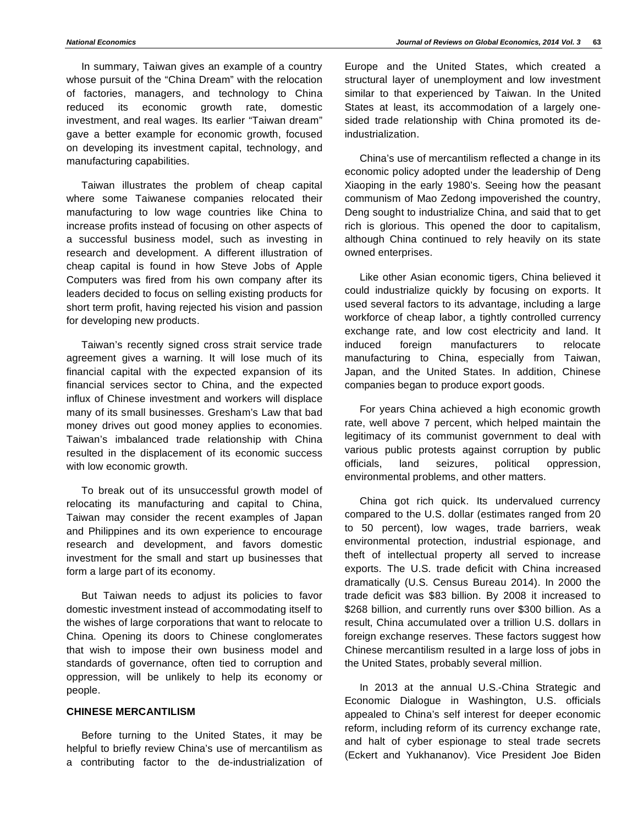In summary, Taiwan gives an example of a country whose pursuit of the "China Dream" with the relocation of factories, managers, and technology to China reduced its economic growth rate, domestic investment, and real wages. Its earlier "Taiwan dream" gave a better example for economic growth, focused on developing its investment capital, technology, and manufacturing capabilities.

Taiwan illustrates the problem of cheap capital where some Taiwanese companies relocated their manufacturing to low wage countries like China to increase profits instead of focusing on other aspects of a successful business model, such as investing in research and development. A different illustration of cheap capital is found in how Steve Jobs of Apple Computers was fired from his own company after its leaders decided to focus on selling existing products for short term profit, having rejected his vision and passion for developing new products.

Taiwan's recently signed cross strait service trade agreement gives a warning. It will lose much of its financial capital with the expected expansion of its financial services sector to China, and the expected influx of Chinese investment and workers will displace many of its small businesses. Gresham's Law that bad money drives out good money applies to economies. Taiwan's imbalanced trade relationship with China resulted in the displacement of its economic success with low economic growth.

To break out of its unsuccessful growth model of relocating its manufacturing and capital to China, Taiwan may consider the recent examples of Japan and Philippines and its own experience to encourage research and development, and favors domestic investment for the small and start up businesses that form a large part of its economy.

But Taiwan needs to adjust its policies to favor domestic investment instead of accommodating itself to the wishes of large corporations that want to relocate to China. Opening its doors to Chinese conglomerates that wish to impose their own business model and standards of governance, often tied to corruption and oppression, will be unlikely to help its economy or people.

# **CHINESE MERCANTILISM**

Before turning to the United States, it may be helpful to briefly review China's use of mercantilism as a contributing factor to the de-industrialization of Europe and the United States, which created a structural layer of unemployment and low investment similar to that experienced by Taiwan. In the United States at least, its accommodation of a largely onesided trade relationship with China promoted its deindustrialization.

China's use of mercantilism reflected a change in its economic policy adopted under the leadership of Deng Xiaoping in the early 1980's. Seeing how the peasant communism of Mao Zedong impoverished the country, Deng sought to industrialize China, and said that to get rich is glorious. This opened the door to capitalism, although China continued to rely heavily on its state owned enterprises.

Like other Asian economic tigers, China believed it could industrialize quickly by focusing on exports. It used several factors to its advantage, including a large workforce of cheap labor, a tightly controlled currency exchange rate, and low cost electricity and land. It induced foreign manufacturers to relocate manufacturing to China, especially from Taiwan, Japan, and the United States. In addition, Chinese companies began to produce export goods.

For years China achieved a high economic growth rate, well above 7 percent, which helped maintain the legitimacy of its communist government to deal with various public protests against corruption by public officials, land seizures, political oppression, environmental problems, and other matters.

China got rich quick. Its undervalued currency compared to the U.S. dollar (estimates ranged from 20 to 50 percent), low wages, trade barriers, weak environmental protection, industrial espionage, and theft of intellectual property all served to increase exports. The U.S. trade deficit with China increased dramatically (U.S. Census Bureau 2014). In 2000 the trade deficit was \$83 billion. By 2008 it increased to \$268 billion, and currently runs over \$300 billion. As a result, China accumulated over a trillion U.S. dollars in foreign exchange reserves. These factors suggest how Chinese mercantilism resulted in a large loss of jobs in the United States, probably several million.

In 2013 at the annual U.S.-China Strategic and Economic Dialogue in Washington, U.S. officials appealed to China's self interest for deeper economic reform, including reform of its currency exchange rate, and halt of cyber espionage to steal trade secrets (Eckert and Yukhananov). Vice President Joe Biden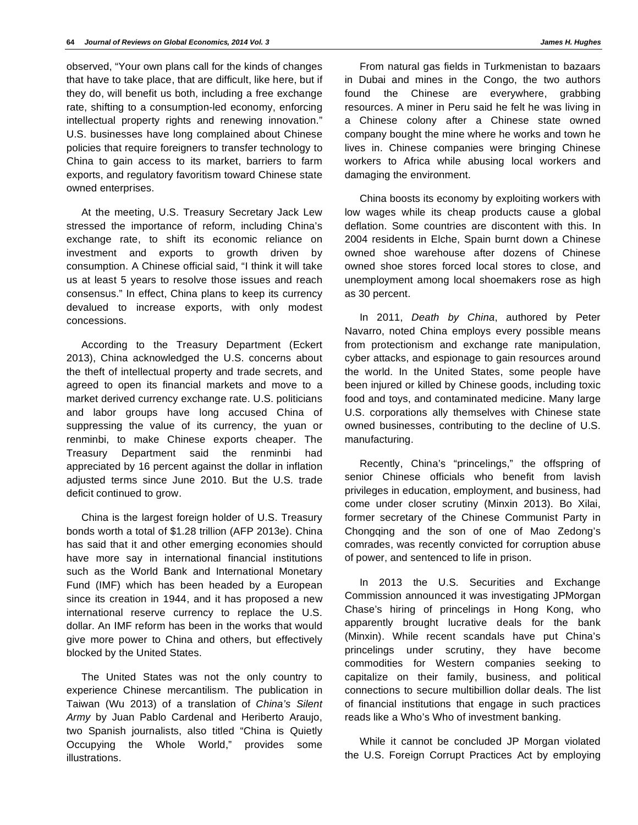observed, "Your own plans call for the kinds of changes that have to take place, that are difficult, like here, but if they do, will benefit us both, including a free exchange rate, shifting to a consumption-led economy, enforcing intellectual property rights and renewing innovation." U.S. businesses have long complained about Chinese policies that require foreigners to transfer technology to China to gain access to its market, barriers to farm exports, and regulatory favoritism toward Chinese state owned enterprises.

At the meeting, U.S. Treasury Secretary Jack Lew stressed the importance of reform, including China's exchange rate, to shift its economic reliance on investment and exports to growth driven by consumption. A Chinese official said, "I think it will take us at least 5 years to resolve those issues and reach consensus." In effect, China plans to keep its currency devalued to increase exports, with only modest concessions.

According to the Treasury Department (Eckert 2013), China acknowledged the U.S. concerns about the theft of intellectual property and trade secrets, and agreed to open its financial markets and move to a market derived currency exchange rate. U.S. politicians and labor groups have long accused China of suppressing the value of its currency, the yuan or renminbi, to make Chinese exports cheaper. The Treasury Department said the renminbi had appreciated by 16 percent against the dollar in inflation adjusted terms since June 2010. But the U.S. trade deficit continued to grow.

China is the largest foreign holder of U.S. Treasury bonds worth a total of \$1.28 trillion (AFP 2013e). China has said that it and other emerging economies should have more say in international financial institutions such as the World Bank and International Monetary Fund (IMF) which has been headed by a European since its creation in 1944, and it has proposed a new international reserve currency to replace the U.S. dollar. An IMF reform has been in the works that would give more power to China and others, but effectively blocked by the United States.

The United States was not the only country to experience Chinese mercantilism. The publication in Taiwan (Wu 2013) of a translation of *China's Silent Army* by Juan Pablo Cardenal and Heriberto Araujo, two Spanish journalists, also titled "China is Quietly Occupying the Whole World," provides some illustrations.

From natural gas fields in Turkmenistan to bazaars in Dubai and mines in the Congo, the two authors found the Chinese are everywhere, grabbing resources. A miner in Peru said he felt he was living in a Chinese colony after a Chinese state owned company bought the mine where he works and town he lives in. Chinese companies were bringing Chinese workers to Africa while abusing local workers and damaging the environment.

China boosts its economy by exploiting workers with low wages while its cheap products cause a global deflation. Some countries are discontent with this. In 2004 residents in Elche, Spain burnt down a Chinese owned shoe warehouse after dozens of Chinese owned shoe stores forced local stores to close, and unemployment among local shoemakers rose as high as 30 percent.

In 2011, *Death by China*, authored by Peter Navarro, noted China employs every possible means from protectionism and exchange rate manipulation, cyber attacks, and espionage to gain resources around the world. In the United States, some people have been injured or killed by Chinese goods, including toxic food and toys, and contaminated medicine. Many large U.S. corporations ally themselves with Chinese state owned businesses, contributing to the decline of U.S. manufacturing.

Recently, China's "princelings," the offspring of senior Chinese officials who benefit from lavish privileges in education, employment, and business, had come under closer scrutiny (Minxin 2013). Bo Xilai, former secretary of the Chinese Communist Party in Chongqing and the son of one of Mao Zedong's comrades, was recently convicted for corruption abuse of power, and sentenced to life in prison.

In 2013 the U.S. Securities and Exchange Commission announced it was investigating JPMorgan Chase's hiring of princelings in Hong Kong, who apparently brought lucrative deals for the bank (Minxin). While recent scandals have put China's princelings under scrutiny, they have become commodities for Western companies seeking to capitalize on their family, business, and political connections to secure multibillion dollar deals. The list of financial institutions that engage in such practices reads like a Who's Who of investment banking.

While it cannot be concluded JP Morgan violated the U.S. Foreign Corrupt Practices Act by employing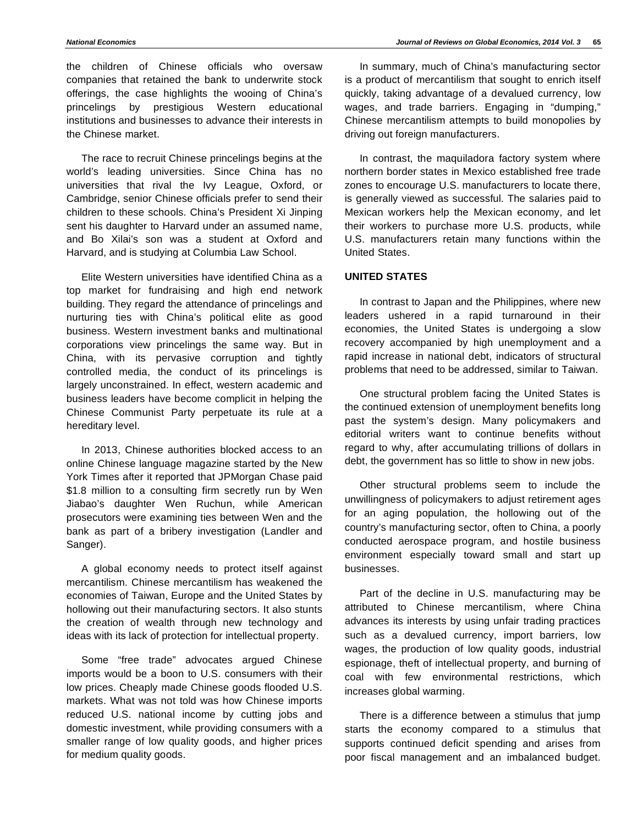the children of Chinese officials who oversaw companies that retained the bank to underwrite stock offerings, the case highlights the wooing of China's princelings by prestigious Western educational institutions and businesses to advance their interests in the Chinese market.

The race to recruit Chinese princelings begins at the world's leading universities. Since China has no universities that rival the Ivy League, Oxford, or Cambridge, senior Chinese officials prefer to send their children to these schools. China's President Xi Jinping sent his daughter to Harvard under an assumed name, and Bo Xilai's son was a student at Oxford and Harvard, and is studying at Columbia Law School.

Elite Western universities have identified China as a top market for fundraising and high end network building. They regard the attendance of princelings and nurturing ties with China's political elite as good business. Western investment banks and multinational corporations view princelings the same way. But in China, with its pervasive corruption and tightly controlled media, the conduct of its princelings is largely unconstrained. In effect, western academic and business leaders have become complicit in helping the Chinese Communist Party perpetuate its rule at a hereditary level.

In 2013, Chinese authorities blocked access to an online Chinese language magazine started by the New York Times after it reported that JPMorgan Chase paid \$1.8 million to a consulting firm secretly run by Wen Jiabao's daughter Wen Ruchun, while American prosecutors were examining ties between Wen and the bank as part of a bribery investigation (Landler and Sanger).

A global economy needs to protect itself against mercantilism. Chinese mercantilism has weakened the economies of Taiwan, Europe and the United States by hollowing out their manufacturing sectors. It also stunts the creation of wealth through new technology and ideas with its lack of protection for intellectual property.

Some "free trade" advocates argued Chinese imports would be a boon to U.S. consumers with their low prices. Cheaply made Chinese goods flooded U.S. markets. What was not told was how Chinese imports reduced U.S. national income by cutting jobs and domestic investment, while providing consumers with a smaller range of low quality goods, and higher prices for medium quality goods.

In summary, much of China's manufacturing sector is a product of mercantilism that sought to enrich itself quickly, taking advantage of a devalued currency, low wages, and trade barriers. Engaging in "dumping," Chinese mercantilism attempts to build monopolies by driving out foreign manufacturers.

In contrast, the maquiladora factory system where northern border states in Mexico established free trade zones to encourage U.S. manufacturers to locate there, is generally viewed as successful. The salaries paid to Mexican workers help the Mexican economy, and let their workers to purchase more U.S. products, while U.S. manufacturers retain many functions within the United States.

# **UNITED STATES**

In contrast to Japan and the Philippines, where new leaders ushered in a rapid turnaround in their economies, the United States is undergoing a slow recovery accompanied by high unemployment and a rapid increase in national debt, indicators of structural problems that need to be addressed, similar to Taiwan.

One structural problem facing the United States is the continued extension of unemployment benefits long past the system's design. Many policymakers and editorial writers want to continue benefits without regard to why, after accumulating trillions of dollars in debt, the government has so little to show in new jobs.

Other structural problems seem to include the unwillingness of policymakers to adjust retirement ages for an aging population, the hollowing out of the country's manufacturing sector, often to China, a poorly conducted aerospace program, and hostile business environment especially toward small and start up businesses.

Part of the decline in U.S. manufacturing may be attributed to Chinese mercantilism, where China advances its interests by using unfair trading practices such as a devalued currency, import barriers, low wages, the production of low quality goods, industrial espionage, theft of intellectual property, and burning of coal with few environmental restrictions, which increases global warming.

There is a difference between a stimulus that jump starts the economy compared to a stimulus that supports continued deficit spending and arises from poor fiscal management and an imbalanced budget.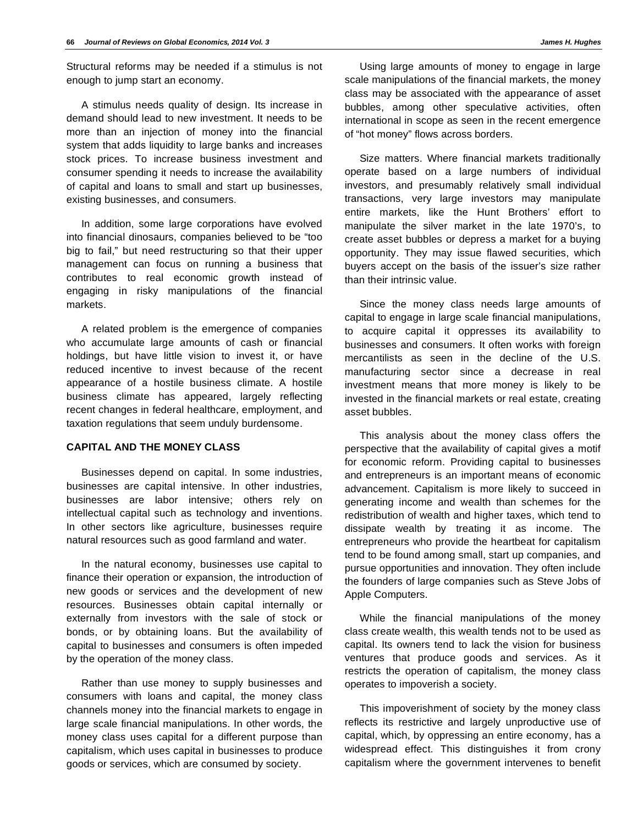Structural reforms may be needed if a stimulus is not enough to jump start an economy.

A stimulus needs quality of design. Its increase in demand should lead to new investment. It needs to be more than an injection of money into the financial system that adds liquidity to large banks and increases stock prices. To increase business investment and consumer spending it needs to increase the availability of capital and loans to small and start up businesses, existing businesses, and consumers.

In addition, some large corporations have evolved into financial dinosaurs, companies believed to be "too big to fail," but need restructuring so that their upper management can focus on running a business that contributes to real economic growth instead of engaging in risky manipulations of the financial markets.

A related problem is the emergence of companies who accumulate large amounts of cash or financial holdings, but have little vision to invest it, or have reduced incentive to invest because of the recent appearance of a hostile business climate. A hostile business climate has appeared, largely reflecting recent changes in federal healthcare, employment, and taxation regulations that seem unduly burdensome.

# **CAPITAL AND THE MONEY CLASS**

Businesses depend on capital. In some industries, businesses are capital intensive. In other industries, businesses are labor intensive; others rely on intellectual capital such as technology and inventions. In other sectors like agriculture, businesses require natural resources such as good farmland and water.

In the natural economy, businesses use capital to finance their operation or expansion, the introduction of new goods or services and the development of new resources. Businesses obtain capital internally or externally from investors with the sale of stock or bonds, or by obtaining loans. But the availability of capital to businesses and consumers is often impeded by the operation of the money class.

Rather than use money to supply businesses and consumers with loans and capital, the money class channels money into the financial markets to engage in large scale financial manipulations. In other words, the money class uses capital for a different purpose than capitalism, which uses capital in businesses to produce goods or services, which are consumed by society.

Using large amounts of money to engage in large scale manipulations of the financial markets, the money class may be associated with the appearance of asset bubbles, among other speculative activities, often international in scope as seen in the recent emergence of "hot money" flows across borders.

Size matters. Where financial markets traditionally operate based on a large numbers of individual investors, and presumably relatively small individual transactions, very large investors may manipulate entire markets, like the Hunt Brothers' effort to manipulate the silver market in the late 1970's, to create asset bubbles or depress a market for a buying opportunity. They may issue flawed securities, which buyers accept on the basis of the issuer's size rather than their intrinsic value.

Since the money class needs large amounts of capital to engage in large scale financial manipulations, to acquire capital it oppresses its availability to businesses and consumers. It often works with foreign mercantilists as seen in the decline of the U.S. manufacturing sector since a decrease in real investment means that more money is likely to be invested in the financial markets or real estate, creating asset bubbles.

This analysis about the money class offers the perspective that the availability of capital gives a motif for economic reform. Providing capital to businesses and entrepreneurs is an important means of economic advancement. Capitalism is more likely to succeed in generating income and wealth than schemes for the redistribution of wealth and higher taxes, which tend to dissipate wealth by treating it as income. The entrepreneurs who provide the heartbeat for capitalism tend to be found among small, start up companies, and pursue opportunities and innovation. They often include the founders of large companies such as Steve Jobs of Apple Computers.

While the financial manipulations of the money class create wealth, this wealth tends not to be used as capital. Its owners tend to lack the vision for business ventures that produce goods and services. As it restricts the operation of capitalism, the money class operates to impoverish a society.

This impoverishment of society by the money class reflects its restrictive and largely unproductive use of capital, which, by oppressing an entire economy, has a widespread effect. This distinguishes it from crony capitalism where the government intervenes to benefit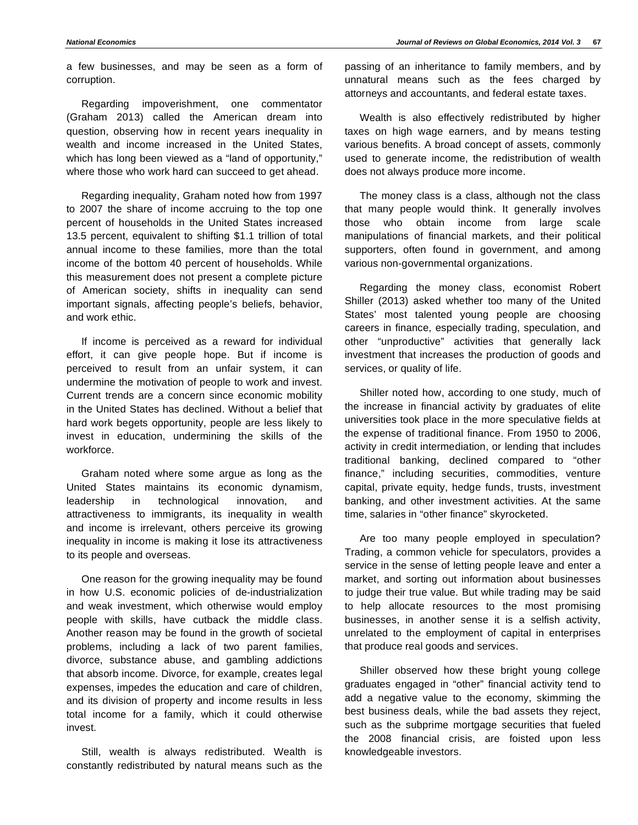a few businesses, and may be seen as a form of corruption.

Regarding impoverishment, one commentator (Graham 2013) called the American dream into question, observing how in recent years inequality in wealth and income increased in the United States, which has long been viewed as a "land of opportunity," where those who work hard can succeed to get ahead.

Regarding inequality, Graham noted how from 1997 to 2007 the share of income accruing to the top one percent of households in the United States increased 13.5 percent, equivalent to shifting \$1.1 trillion of total annual income to these families, more than the total income of the bottom 40 percent of households. While this measurement does not present a complete picture of American society, shifts in inequality can send important signals, affecting people's beliefs, behavior, and work ethic.

If income is perceived as a reward for individual effort, it can give people hope. But if income is perceived to result from an unfair system, it can undermine the motivation of people to work and invest. Current trends are a concern since economic mobility in the United States has declined. Without a belief that hard work begets opportunity, people are less likely to invest in education, undermining the skills of the workforce.

Graham noted where some argue as long as the United States maintains its economic dynamism, leadership in technological innovation, and attractiveness to immigrants, its inequality in wealth and income is irrelevant, others perceive its growing inequality in income is making it lose its attractiveness to its people and overseas.

One reason for the growing inequality may be found in how U.S. economic policies of de-industrialization and weak investment, which otherwise would employ people with skills, have cutback the middle class. Another reason may be found in the growth of societal problems, including a lack of two parent families, divorce, substance abuse, and gambling addictions that absorb income. Divorce, for example, creates legal expenses, impedes the education and care of children, and its division of property and income results in less total income for a family, which it could otherwise invest.

Still, wealth is always redistributed. Wealth is constantly redistributed by natural means such as the

passing of an inheritance to family members, and by unnatural means such as the fees charged by attorneys and accountants, and federal estate taxes.

Wealth is also effectively redistributed by higher taxes on high wage earners, and by means testing various benefits. A broad concept of assets, commonly used to generate income, the redistribution of wealth does not always produce more income.

The money class is a class, although not the class that many people would think. It generally involves those who obtain income from large scale manipulations of financial markets, and their political supporters, often found in government, and among various non-governmental organizations.

Regarding the money class, economist Robert Shiller (2013) asked whether too many of the United States' most talented young people are choosing careers in finance, especially trading, speculation, and other "unproductive" activities that generally lack investment that increases the production of goods and services, or quality of life.

Shiller noted how, according to one study, much of the increase in financial activity by graduates of elite universities took place in the more speculative fields at the expense of traditional finance. From 1950 to 2006, activity in credit intermediation, or lending that includes traditional banking, declined compared to "other finance," including securities, commodities, venture capital, private equity, hedge funds, trusts, investment banking, and other investment activities. At the same time, salaries in "other finance" skyrocketed.

Are too many people employed in speculation? Trading, a common vehicle for speculators, provides a service in the sense of letting people leave and enter a market, and sorting out information about businesses to judge their true value. But while trading may be said to help allocate resources to the most promising businesses, in another sense it is a selfish activity, unrelated to the employment of capital in enterprises that produce real goods and services.

Shiller observed how these bright young college graduates engaged in "other" financial activity tend to add a negative value to the economy, skimming the best business deals, while the bad assets they reject, such as the subprime mortgage securities that fueled the 2008 financial crisis, are foisted upon less knowledgeable investors.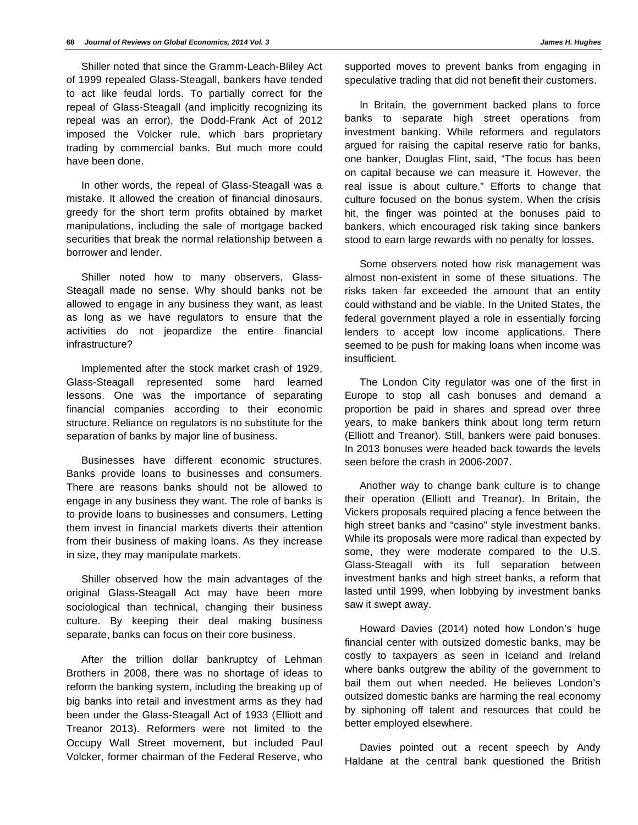Shiller noted that since the Gramm-Leach-Bliley Act of 1999 repealed Glass-Steagall, bankers have tended to act like feudal lords. To partially correct for the repeal of Glass-Steagall (and implicitly recognizing its repeal was an error), the Dodd-Frank Act of 2012 imposed the Volcker rule, which bars proprietary trading by commercial banks. But much more could have been done.

In other words, the repeal of Glass-Steagall was a mistake. It allowed the creation of financial dinosaurs, greedy for the short term profits obtained by market manipulations, including the sale of mortgage backed securities that break the normal relationship between a borrower and lender.

Shiller noted how to many observers, Glass-Steagall made no sense. Why should banks not be allowed to engage in any business they want, as least as long as we have regulators to ensure that the activities do not jeopardize the entire financial infrastructure?

Implemented after the stock market crash of 1929, Glass-Steagall represented some hard learned lessons. One was the importance of separating financial companies according to their economic structure. Reliance on regulators is no substitute for the separation of banks by major line of business.

Businesses have different economic structures. Banks provide loans to businesses and consumers. There are reasons banks should not be allowed to engage in any business they want. The role of banks is to provide loans to businesses and consumers. Letting them invest in financial markets diverts their attention from their business of making loans. As they increase in size, they may manipulate markets.

Shiller observed how the main advantages of the original Glass-Steagall Act may have been more sociological than technical, changing their business culture. By keeping their deal making business separate, banks can focus on their core business.

After the trillion dollar bankruptcy of Lehman Brothers in 2008, there was no shortage of ideas to reform the banking system, including the breaking up of big banks into retail and investment arms as they had been under the Glass-Steagall Act of 1933 (Elliott and Treanor 2013). Reformers were not limited to the Occupy Wall Street movement, but included Paul Volcker, former chairman of the Federal Reserve, who

In Britain, the government backed plans to force banks to separate high street operations from investment banking. While reformers and regulators argued for raising the capital reserve ratio for banks, one banker, Douglas Flint, said, "The focus has been on capital because we can measure it. However, the real issue is about culture." Efforts to change that culture focused on the bonus system. When the crisis hit, the finger was pointed at the bonuses paid to bankers, which encouraged risk taking since bankers stood to earn large rewards with no penalty for losses.

Some observers noted how risk management was almost non-existent in some of these situations. The risks taken far exceeded the amount that an entity could withstand and be viable. In the United States, the federal government played a role in essentially forcing lenders to accept low income applications. There seemed to be push for making loans when income was insufficient.

The London City regulator was one of the first in Europe to stop all cash bonuses and demand a proportion be paid in shares and spread over three years, to make bankers think about long term return (Elliott and Treanor). Still, bankers were paid bonuses. In 2013 bonuses were headed back towards the levels seen before the crash in 2006-2007.

Another way to change bank culture is to change their operation (Elliott and Treanor). In Britain, the Vickers proposals required placing a fence between the high street banks and "casino" style investment banks. While its proposals were more radical than expected by some, they were moderate compared to the U.S. Glass-Steagall with its full separation between investment banks and high street banks, a reform that lasted until 1999, when lobbying by investment banks saw it swept away.

Howard Davies (2014) noted how London's huge financial center with outsized domestic banks, may be costly to taxpayers as seen in Iceland and Ireland where banks outgrew the ability of the government to bail them out when needed. He believes London's outsized domestic banks are harming the real economy by siphoning off talent and resources that could be better employed elsewhere.

Davies pointed out a recent speech by Andy Haldane at the central bank questioned the British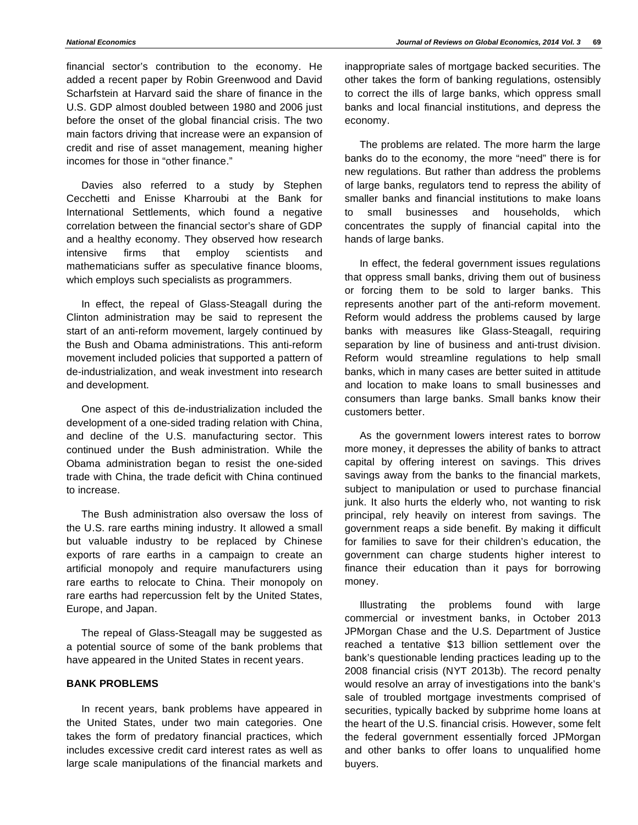financial sector's contribution to the economy. He added a recent paper by Robin Greenwood and David Scharfstein at Harvard said the share of finance in the U.S. GDP almost doubled between 1980 and 2006 just before the onset of the global financial crisis. The two main factors driving that increase were an expansion of credit and rise of asset management, meaning higher incomes for those in "other finance."

Davies also referred to a study by Stephen Cecchetti and Enisse Kharroubi at the Bank for International Settlements, which found a negative correlation between the financial sector's share of GDP and a healthy economy. They observed how research intensive firms that employ scientists and mathematicians suffer as speculative finance blooms, which employs such specialists as programmers.

In effect, the repeal of Glass-Steagall during the Clinton administration may be said to represent the start of an anti-reform movement, largely continued by the Bush and Obama administrations. This anti-reform movement included policies that supported a pattern of de-industrialization, and weak investment into research and development.

One aspect of this de-industrialization included the development of a one-sided trading relation with China, and decline of the U.S. manufacturing sector. This continued under the Bush administration. While the Obama administration began to resist the one-sided trade with China, the trade deficit with China continued to increase.

The Bush administration also oversaw the loss of the U.S. rare earths mining industry. It allowed a small but valuable industry to be replaced by Chinese exports of rare earths in a campaign to create an artificial monopoly and require manufacturers using rare earths to relocate to China. Their monopoly on rare earths had repercussion felt by the United States, Europe, and Japan.

The repeal of Glass-Steagall may be suggested as a potential source of some of the bank problems that have appeared in the United States in recent years.

# **BANK PROBLEMS**

In recent years, bank problems have appeared in the United States, under two main categories. One takes the form of predatory financial practices, which includes excessive credit card interest rates as well as large scale manipulations of the financial markets and inappropriate sales of mortgage backed securities. The other takes the form of banking regulations, ostensibly to correct the ills of large banks, which oppress small banks and local financial institutions, and depress the economy.

The problems are related. The more harm the large banks do to the economy, the more "need" there is for new regulations. But rather than address the problems of large banks, regulators tend to repress the ability of smaller banks and financial institutions to make loans to small businesses and households, which concentrates the supply of financial capital into the hands of large banks.

In effect, the federal government issues regulations that oppress small banks, driving them out of business or forcing them to be sold to larger banks. This represents another part of the anti-reform movement. Reform would address the problems caused by large banks with measures like Glass-Steagall, requiring separation by line of business and anti-trust division. Reform would streamline regulations to help small banks, which in many cases are better suited in attitude and location to make loans to small businesses and consumers than large banks. Small banks know their customers better.

As the government lowers interest rates to borrow more money, it depresses the ability of banks to attract capital by offering interest on savings. This drives savings away from the banks to the financial markets, subject to manipulation or used to purchase financial junk. It also hurts the elderly who, not wanting to risk principal, rely heavily on interest from savings. The government reaps a side benefit. By making it difficult for families to save for their children's education, the government can charge students higher interest to finance their education than it pays for borrowing money.

Illustrating the problems found with large commercial or investment banks, in October 2013 JPMorgan Chase and the U.S. Department of Justice reached a tentative \$13 billion settlement over the bank's questionable lending practices leading up to the 2008 financial crisis (NYT 2013b). The record penalty would resolve an array of investigations into the bank's sale of troubled mortgage investments comprised of securities, typically backed by subprime home loans at the heart of the U.S. financial crisis. However, some felt the federal government essentially forced JPMorgan and other banks to offer loans to unqualified home buyers.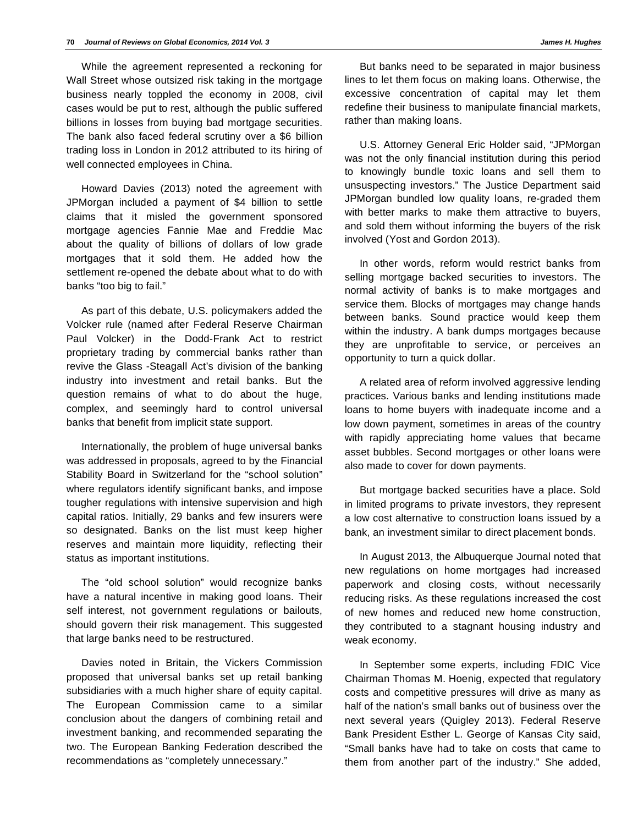While the agreement represented a reckoning for Wall Street whose outsized risk taking in the mortgage business nearly toppled the economy in 2008, civil cases would be put to rest, although the public suffered billions in losses from buying bad mortgage securities. The bank also faced federal scrutiny over a \$6 billion trading loss in London in 2012 attributed to its hiring of well connected employees in China.

Howard Davies (2013) noted the agreement with JPMorgan included a payment of \$4 billion to settle claims that it misled the government sponsored mortgage agencies Fannie Mae and Freddie Mac about the quality of billions of dollars of low grade mortgages that it sold them. He added how the settlement re-opened the debate about what to do with banks "too big to fail."

As part of this debate, U.S. policymakers added the Volcker rule (named after Federal Reserve Chairman Paul Volcker) in the Dodd-Frank Act to restrict proprietary trading by commercial banks rather than revive the Glass -Steagall Act's division of the banking industry into investment and retail banks. But the question remains of what to do about the huge, complex, and seemingly hard to control universal banks that benefit from implicit state support.

Internationally, the problem of huge universal banks was addressed in proposals, agreed to by the Financial Stability Board in Switzerland for the "school solution" where regulators identify significant banks, and impose tougher regulations with intensive supervision and high capital ratios. Initially, 29 banks and few insurers were so designated. Banks on the list must keep higher reserves and maintain more liquidity, reflecting their status as important institutions.

The "old school solution" would recognize banks have a natural incentive in making good loans. Their self interest, not government regulations or bailouts, should govern their risk management. This suggested that large banks need to be restructured.

Davies noted in Britain, the Vickers Commission proposed that universal banks set up retail banking subsidiaries with a much higher share of equity capital. The European Commission came to a similar conclusion about the dangers of combining retail and investment banking, and recommended separating the two. The European Banking Federation described the recommendations as "completely unnecessary."

But banks need to be separated in major business lines to let them focus on making loans. Otherwise, the excessive concentration of capital may let them redefine their business to manipulate financial markets, rather than making loans.

U.S. Attorney General Eric Holder said, "JPMorgan was not the only financial institution during this period to knowingly bundle toxic loans and sell them to unsuspecting investors." The Justice Department said JPMorgan bundled low quality loans, re-graded them with better marks to make them attractive to buyers, and sold them without informing the buyers of the risk involved (Yost and Gordon 2013).

In other words, reform would restrict banks from selling mortgage backed securities to investors. The normal activity of banks is to make mortgages and service them. Blocks of mortgages may change hands between banks. Sound practice would keep them within the industry. A bank dumps mortgages because they are unprofitable to service, or perceives an opportunity to turn a quick dollar.

A related area of reform involved aggressive lending practices. Various banks and lending institutions made loans to home buyers with inadequate income and a low down payment, sometimes in areas of the country with rapidly appreciating home values that became asset bubbles. Second mortgages or other loans were also made to cover for down payments.

But mortgage backed securities have a place. Sold in limited programs to private investors, they represent a low cost alternative to construction loans issued by a bank, an investment similar to direct placement bonds.

In August 2013, the Albuquerque Journal noted that new regulations on home mortgages had increased paperwork and closing costs, without necessarily reducing risks. As these regulations increased the cost of new homes and reduced new home construction, they contributed to a stagnant housing industry and weak economy.

In September some experts, including FDIC Vice Chairman Thomas M. Hoenig, expected that regulatory costs and competitive pressures will drive as many as half of the nation's small banks out of business over the next several years (Quigley 2013). Federal Reserve Bank President Esther L. George of Kansas City said, "Small banks have had to take on costs that came to them from another part of the industry." She added,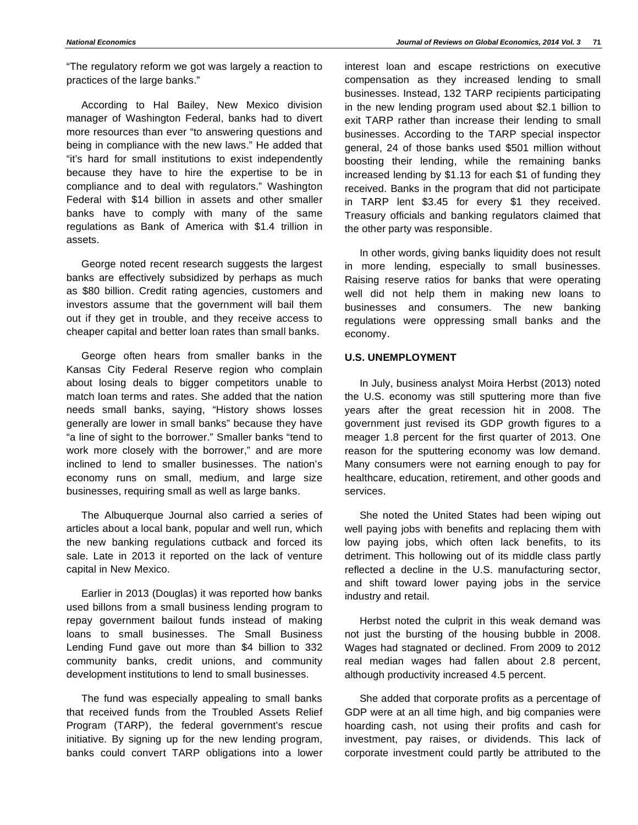"The regulatory reform we got was largely a reaction to practices of the large banks."

According to Hal Bailey, New Mexico division manager of Washington Federal, banks had to divert more resources than ever "to answering questions and being in compliance with the new laws." He added that "it's hard for small institutions to exist independently because they have to hire the expertise to be in compliance and to deal with regulators." Washington Federal with \$14 billion in assets and other smaller banks have to comply with many of the same regulations as Bank of America with \$1.4 trillion in assets.

George noted recent research suggests the largest banks are effectively subsidized by perhaps as much as \$80 billion. Credit rating agencies, customers and investors assume that the government will bail them out if they get in trouble, and they receive access to cheaper capital and better loan rates than small banks.

George often hears from smaller banks in the Kansas City Federal Reserve region who complain about losing deals to bigger competitors unable to match loan terms and rates. She added that the nation needs small banks, saying, "History shows losses generally are lower in small banks" because they have "a line of sight to the borrower." Smaller banks "tend to work more closely with the borrower," and are more inclined to lend to smaller businesses. The nation's economy runs on small, medium, and large size businesses, requiring small as well as large banks.

The Albuquerque Journal also carried a series of articles about a local bank, popular and well run, which the new banking regulations cutback and forced its sale. Late in 2013 it reported on the lack of venture capital in New Mexico.

Earlier in 2013 (Douglas) it was reported how banks used billons from a small business lending program to repay government bailout funds instead of making loans to small businesses. The Small Business Lending Fund gave out more than \$4 billion to 332 community banks, credit unions, and community development institutions to lend to small businesses.

The fund was especially appealing to small banks that received funds from the Troubled Assets Relief Program (TARP), the federal government's rescue initiative. By signing up for the new lending program, banks could convert TARP obligations into a lower

interest loan and escape restrictions on executive compensation as they increased lending to small businesses. Instead, 132 TARP recipients participating in the new lending program used about \$2.1 billion to exit TARP rather than increase their lending to small businesses. According to the TARP special inspector general, 24 of those banks used \$501 million without boosting their lending, while the remaining banks increased lending by \$1.13 for each \$1 of funding they received. Banks in the program that did not participate in TARP lent \$3.45 for every \$1 they received. Treasury officials and banking regulators claimed that the other party was responsible.

In other words, giving banks liquidity does not result in more lending, especially to small businesses. Raising reserve ratios for banks that were operating well did not help them in making new loans to businesses and consumers. The new banking regulations were oppressing small banks and the economy.

## **U.S. UNEMPLOYMENT**

In July, business analyst Moira Herbst (2013) noted the U.S. economy was still sputtering more than five years after the great recession hit in 2008. The government just revised its GDP growth figures to a meager 1.8 percent for the first quarter of 2013. One reason for the sputtering economy was low demand. Many consumers were not earning enough to pay for healthcare, education, retirement, and other goods and services.

She noted the United States had been wiping out well paying jobs with benefits and replacing them with low paying jobs, which often lack benefits, to its detriment. This hollowing out of its middle class partly reflected a decline in the U.S. manufacturing sector, and shift toward lower paying jobs in the service industry and retail.

Herbst noted the culprit in this weak demand was not just the bursting of the housing bubble in 2008. Wages had stagnated or declined. From 2009 to 2012 real median wages had fallen about 2.8 percent, although productivity increased 4.5 percent.

She added that corporate profits as a percentage of GDP were at an all time high, and big companies were hoarding cash, not using their profits and cash for investment, pay raises, or dividends. This lack of corporate investment could partly be attributed to the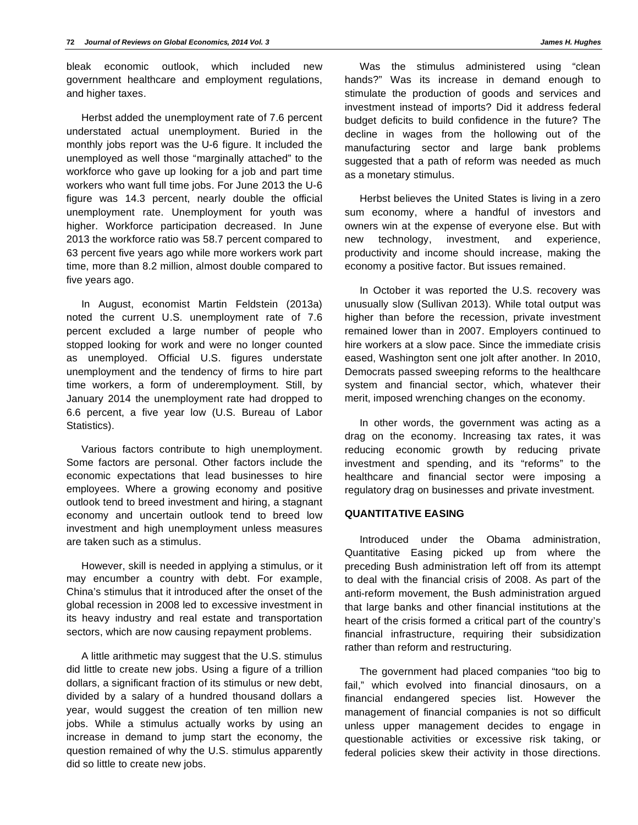bleak economic outlook, which included new government healthcare and employment regulations, and higher taxes.

Herbst added the unemployment rate of 7.6 percent understated actual unemployment. Buried in the monthly jobs report was the U-6 figure. It included the unemployed as well those "marginally attached" to the workforce who gave up looking for a job and part time workers who want full time jobs. For June 2013 the U-6 figure was 14.3 percent, nearly double the official unemployment rate. Unemployment for youth was higher. Workforce participation decreased. In June 2013 the workforce ratio was 58.7 percent compared to 63 percent five years ago while more workers work part time, more than 8.2 million, almost double compared to five years ago.

In August, economist Martin Feldstein (2013a) noted the current U.S. unemployment rate of 7.6 percent excluded a large number of people who stopped looking for work and were no longer counted as unemployed. Official U.S. figures understate unemployment and the tendency of firms to hire part time workers, a form of underemployment. Still, by January 2014 the unemployment rate had dropped to 6.6 percent, a five year low (U.S. Bureau of Labor Statistics).

Various factors contribute to high unemployment. Some factors are personal. Other factors include the economic expectations that lead businesses to hire employees. Where a growing economy and positive outlook tend to breed investment and hiring, a stagnant economy and uncertain outlook tend to breed low investment and high unemployment unless measures are taken such as a stimulus.

However, skill is needed in applying a stimulus, or it may encumber a country with debt. For example, China's stimulus that it introduced after the onset of the global recession in 2008 led to excessive investment in its heavy industry and real estate and transportation sectors, which are now causing repayment problems.

A little arithmetic may suggest that the U.S. stimulus did little to create new jobs. Using a figure of a trillion dollars, a significant fraction of its stimulus or new debt, divided by a salary of a hundred thousand dollars a year, would suggest the creation of ten million new jobs. While a stimulus actually works by using an increase in demand to jump start the economy, the question remained of why the U.S. stimulus apparently did so little to create new jobs.

Was the stimulus administered using "clean hands?" Was its increase in demand enough to stimulate the production of goods and services and investment instead of imports? Did it address federal budget deficits to build confidence in the future? The decline in wages from the hollowing out of the manufacturing sector and large bank problems suggested that a path of reform was needed as much as a monetary stimulus.

Herbst believes the United States is living in a zero sum economy, where a handful of investors and owners win at the expense of everyone else. But with new technology, investment, and experience, productivity and income should increase, making the economy a positive factor. But issues remained.

In October it was reported the U.S. recovery was unusually slow (Sullivan 2013). While total output was higher than before the recession, private investment remained lower than in 2007. Employers continued to hire workers at a slow pace. Since the immediate crisis eased, Washington sent one jolt after another. In 2010, Democrats passed sweeping reforms to the healthcare system and financial sector, which, whatever their merit, imposed wrenching changes on the economy.

In other words, the government was acting as a drag on the economy. Increasing tax rates, it was reducing economic growth by reducing private investment and spending, and its "reforms" to the healthcare and financial sector were imposing a regulatory drag on businesses and private investment.

## **QUANTITATIVE EASING**

Introduced under the Obama administration, Quantitative Easing picked up from where the preceding Bush administration left off from its attempt to deal with the financial crisis of 2008. As part of the anti-reform movement, the Bush administration argued that large banks and other financial institutions at the heart of the crisis formed a critical part of the country's financial infrastructure, requiring their subsidization rather than reform and restructuring.

The government had placed companies "too big to fail," which evolved into financial dinosaurs, on a financial endangered species list. However the management of financial companies is not so difficult unless upper management decides to engage in questionable activities or excessive risk taking, or federal policies skew their activity in those directions.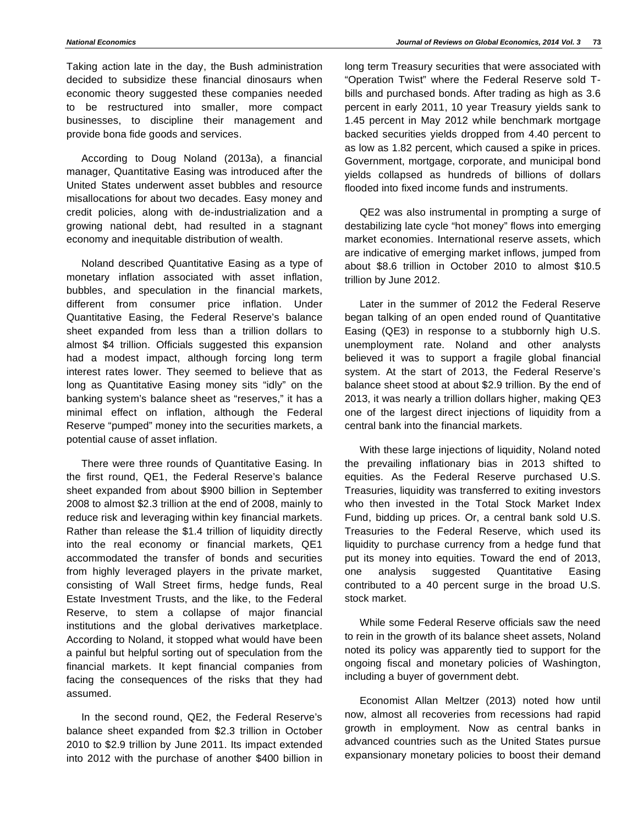Taking action late in the day, the Bush administration decided to subsidize these financial dinosaurs when economic theory suggested these companies needed to be restructured into smaller, more compact businesses, to discipline their management and provide bona fide goods and services.

According to Doug Noland (2013a), a financial manager, Quantitative Easing was introduced after the United States underwent asset bubbles and resource misallocations for about two decades. Easy money and credit policies, along with de-industrialization and a growing national debt, had resulted in a stagnant economy and inequitable distribution of wealth.

Noland described Quantitative Easing as a type of monetary inflation associated with asset inflation, bubbles, and speculation in the financial markets, different from consumer price inflation. Under Quantitative Easing, the Federal Reserve's balance sheet expanded from less than a trillion dollars to almost \$4 trillion. Officials suggested this expansion had a modest impact, although forcing long term interest rates lower. They seemed to believe that as long as Quantitative Easing money sits "idly" on the banking system's balance sheet as "reserves," it has a minimal effect on inflation, although the Federal Reserve "pumped" money into the securities markets, a potential cause of asset inflation.

There were three rounds of Quantitative Easing. In the first round, QE1, the Federal Reserve's balance sheet expanded from about \$900 billion in September 2008 to almost \$2.3 trillion at the end of 2008, mainly to reduce risk and leveraging within key financial markets. Rather than release the \$1.4 trillion of liquidity directly into the real economy or financial markets, QE1 accommodated the transfer of bonds and securities from highly leveraged players in the private market, consisting of Wall Street firms, hedge funds, Real Estate Investment Trusts, and the like, to the Federal Reserve, to stem a collapse of major financial institutions and the global derivatives marketplace. According to Noland, it stopped what would have been a painful but helpful sorting out of speculation from the financial markets. It kept financial companies from facing the consequences of the risks that they had assumed.

In the second round, QE2, the Federal Reserve's balance sheet expanded from \$2.3 trillion in October 2010 to \$2.9 trillion by June 2011. Its impact extended into 2012 with the purchase of another \$400 billion in long term Treasury securities that were associated with "Operation Twist" where the Federal Reserve sold Tbills and purchased bonds. After trading as high as 3.6 percent in early 2011, 10 year Treasury yields sank to 1.45 percent in May 2012 while benchmark mortgage backed securities yields dropped from 4.40 percent to as low as 1.82 percent, which caused a spike in prices. Government, mortgage, corporate, and municipal bond yields collapsed as hundreds of billions of dollars flooded into fixed income funds and instruments.

QE2 was also instrumental in prompting a surge of destabilizing late cycle "hot money" flows into emerging market economies. International reserve assets, which are indicative of emerging market inflows, jumped from about \$8.6 trillion in October 2010 to almost \$10.5 trillion by June 2012.

Later in the summer of 2012 the Federal Reserve began talking of an open ended round of Quantitative Easing (QE3) in response to a stubbornly high U.S. unemployment rate. Noland and other analysts believed it was to support a fragile global financial system. At the start of 2013, the Federal Reserve's balance sheet stood at about \$2.9 trillion. By the end of 2013, it was nearly a trillion dollars higher, making QE3 one of the largest direct injections of liquidity from a central bank into the financial markets.

With these large injections of liquidity, Noland noted the prevailing inflationary bias in 2013 shifted to equities. As the Federal Reserve purchased U.S. Treasuries, liquidity was transferred to exiting investors who then invested in the Total Stock Market Index Fund, bidding up prices. Or, a central bank sold U.S. Treasuries to the Federal Reserve, which used its liquidity to purchase currency from a hedge fund that put its money into equities. Toward the end of 2013, one analysis suggested Quantitative Easing contributed to a 40 percent surge in the broad U.S. stock market.

While some Federal Reserve officials saw the need to rein in the growth of its balance sheet assets, Noland noted its policy was apparently tied to support for the ongoing fiscal and monetary policies of Washington, including a buyer of government debt.

Economist Allan Meltzer (2013) noted how until now, almost all recoveries from recessions had rapid growth in employment. Now as central banks in advanced countries such as the United States pursue expansionary monetary policies to boost their demand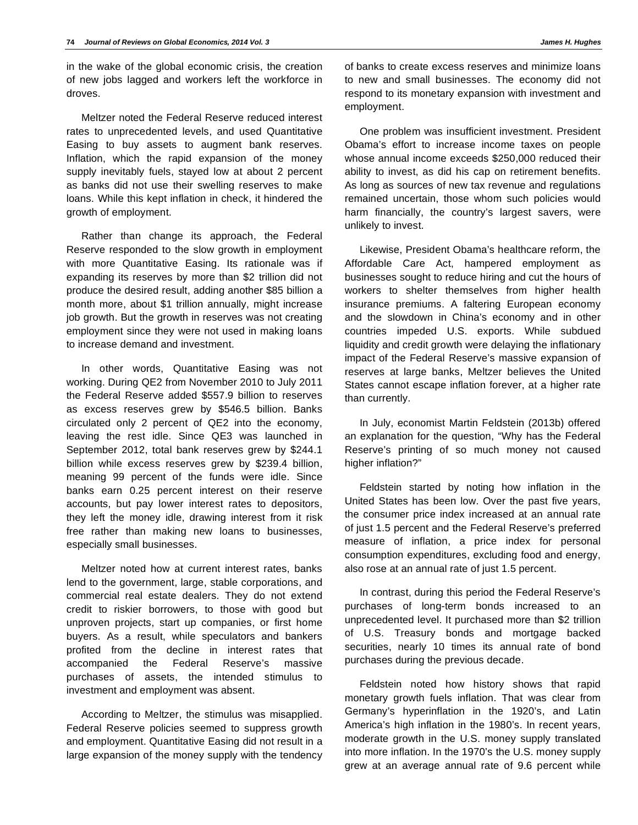in the wake of the global economic crisis, the creation of new jobs lagged and workers left the workforce in droves.

Meltzer noted the Federal Reserve reduced interest rates to unprecedented levels, and used Quantitative Easing to buy assets to augment bank reserves. Inflation, which the rapid expansion of the money supply inevitably fuels, stayed low at about 2 percent as banks did not use their swelling reserves to make loans. While this kept inflation in check, it hindered the growth of employment.

Rather than change its approach, the Federal Reserve responded to the slow growth in employment with more Quantitative Easing. Its rationale was if expanding its reserves by more than \$2 trillion did not produce the desired result, adding another \$85 billion a month more, about \$1 trillion annually, might increase job growth. But the growth in reserves was not creating employment since they were not used in making loans to increase demand and investment.

In other words, Quantitative Easing was not working. During QE2 from November 2010 to July 2011 the Federal Reserve added \$557.9 billion to reserves as excess reserves grew by \$546.5 billion. Banks circulated only 2 percent of QE2 into the economy, leaving the rest idle. Since QE3 was launched in September 2012, total bank reserves grew by \$244.1 billion while excess reserves grew by \$239.4 billion, meaning 99 percent of the funds were idle. Since banks earn 0.25 percent interest on their reserve accounts, but pay lower interest rates to depositors, they left the money idle, drawing interest from it risk free rather than making new loans to businesses, especially small businesses.

Meltzer noted how at current interest rates, banks lend to the government, large, stable corporations, and commercial real estate dealers. They do not extend credit to riskier borrowers, to those with good but unproven projects, start up companies, or first home buyers. As a result, while speculators and bankers profited from the decline in interest rates that accompanied the Federal Reserve's massive purchases of assets, the intended stimulus to investment and employment was absent.

According to Meltzer, the stimulus was misapplied. Federal Reserve policies seemed to suppress growth and employment. Quantitative Easing did not result in a large expansion of the money supply with the tendency of banks to create excess reserves and minimize loans to new and small businesses. The economy did not respond to its monetary expansion with investment and employment.

One problem was insufficient investment. President Obama's effort to increase income taxes on people whose annual income exceeds \$250,000 reduced their ability to invest, as did his cap on retirement benefits. As long as sources of new tax revenue and regulations remained uncertain, those whom such policies would harm financially, the country's largest savers, were unlikely to invest.

Likewise, President Obama's healthcare reform, the Affordable Care Act, hampered employment as businesses sought to reduce hiring and cut the hours of workers to shelter themselves from higher health insurance premiums. A faltering European economy and the slowdown in China's economy and in other countries impeded U.S. exports. While subdued liquidity and credit growth were delaying the inflationary impact of the Federal Reserve's massive expansion of reserves at large banks, Meltzer believes the United States cannot escape inflation forever, at a higher rate than currently.

In July, economist Martin Feldstein (2013b) offered an explanation for the question, "Why has the Federal Reserve's printing of so much money not caused higher inflation?"

Feldstein started by noting how inflation in the United States has been low. Over the past five years, the consumer price index increased at an annual rate of just 1.5 percent and the Federal Reserve's preferred measure of inflation, a price index for personal consumption expenditures, excluding food and energy, also rose at an annual rate of just 1.5 percent.

In contrast, during this period the Federal Reserve's purchases of long-term bonds increased to an unprecedented level. It purchased more than \$2 trillion of U.S. Treasury bonds and mortgage backed securities, nearly 10 times its annual rate of bond purchases during the previous decade.

Feldstein noted how history shows that rapid monetary growth fuels inflation. That was clear from Germany's hyperinflation in the 1920's, and Latin America's high inflation in the 1980's. In recent years, moderate growth in the U.S. money supply translated into more inflation. In the 1970's the U.S. money supply grew at an average annual rate of 9.6 percent while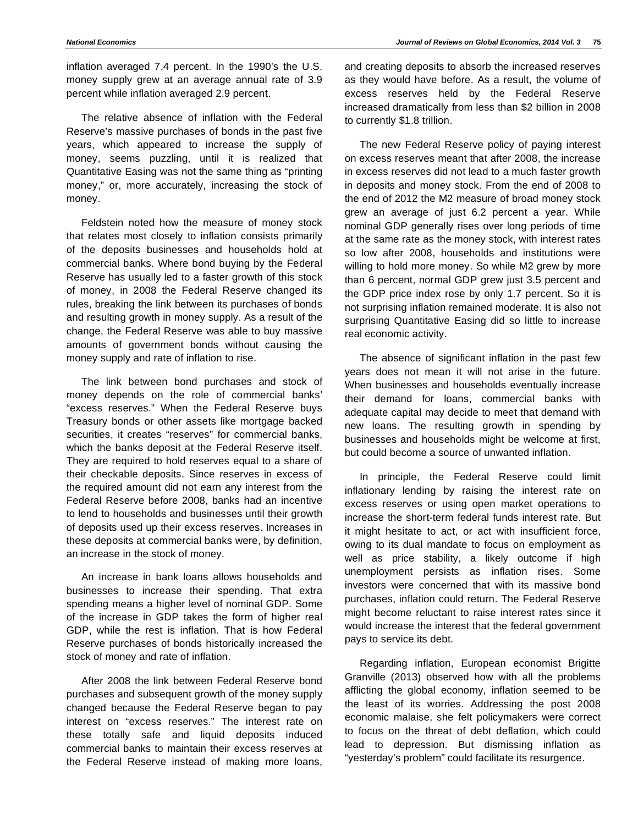inflation averaged 7.4 percent. In the 1990's the U.S. money supply grew at an average annual rate of 3.9 percent while inflation averaged 2.9 percent.

The relative absence of inflation with the Federal Reserve's massive purchases of bonds in the past five years, which appeared to increase the supply of money, seems puzzling, until it is realized that Quantitative Easing was not the same thing as "printing money," or, more accurately, increasing the stock of money.

Feldstein noted how the measure of money stock that relates most closely to inflation consists primarily of the deposits businesses and households hold at commercial banks. Where bond buying by the Federal Reserve has usually led to a faster growth of this stock of money, in 2008 the Federal Reserve changed its rules, breaking the link between its purchases of bonds and resulting growth in money supply. As a result of the change, the Federal Reserve was able to buy massive amounts of government bonds without causing the money supply and rate of inflation to rise.

The link between bond purchases and stock of money depends on the role of commercial banks' "excess reserves." When the Federal Reserve buys Treasury bonds or other assets like mortgage backed securities, it creates "reserves" for commercial banks, which the banks deposit at the Federal Reserve itself. They are required to hold reserves equal to a share of their checkable deposits. Since reserves in excess of the required amount did not earn any interest from the Federal Reserve before 2008, banks had an incentive to lend to households and businesses until their growth of deposits used up their excess reserves. Increases in these deposits at commercial banks were, by definition, an increase in the stock of money.

An increase in bank loans allows households and businesses to increase their spending. That extra spending means a higher level of nominal GDP. Some of the increase in GDP takes the form of higher real GDP, while the rest is inflation. That is how Federal Reserve purchases of bonds historically increased the stock of money and rate of inflation.

After 2008 the link between Federal Reserve bond purchases and subsequent growth of the money supply changed because the Federal Reserve began to pay interest on "excess reserves." The interest rate on these totally safe and liquid deposits induced commercial banks to maintain their excess reserves at the Federal Reserve instead of making more loans,

and creating deposits to absorb the increased reserves as they would have before. As a result, the volume of excess reserves held by the Federal Reserve increased dramatically from less than \$2 billion in 2008 to currently \$1.8 trillion.

The new Federal Reserve policy of paying interest on excess reserves meant that after 2008, the increase in excess reserves did not lead to a much faster growth in deposits and money stock. From the end of 2008 to the end of 2012 the M2 measure of broad money stock grew an average of just 6.2 percent a year. While nominal GDP generally rises over long periods of time at the same rate as the money stock, with interest rates so low after 2008, households and institutions were willing to hold more money. So while M2 grew by more than 6 percent, normal GDP grew just 3.5 percent and the GDP price index rose by only 1.7 percent. So it is not surprising inflation remained moderate. It is also not surprising Quantitative Easing did so little to increase real economic activity.

The absence of significant inflation in the past few years does not mean it will not arise in the future. When businesses and households eventually increase their demand for loans, commercial banks with adequate capital may decide to meet that demand with new loans. The resulting growth in spending by businesses and households might be welcome at first, but could become a source of unwanted inflation.

In principle, the Federal Reserve could limit inflationary lending by raising the interest rate on excess reserves or using open market operations to increase the short-term federal funds interest rate. But it might hesitate to act, or act with insufficient force, owing to its dual mandate to focus on employment as well as price stability, a likely outcome if high unemployment persists as inflation rises. Some investors were concerned that with its massive bond purchases, inflation could return. The Federal Reserve might become reluctant to raise interest rates since it would increase the interest that the federal government pays to service its debt.

Regarding inflation, European economist Brigitte Granville (2013) observed how with all the problems afflicting the global economy, inflation seemed to be the least of its worries. Addressing the post 2008 economic malaise, she felt policymakers were correct to focus on the threat of debt deflation, which could lead to depression. But dismissing inflation as "yesterday's problem" could facilitate its resurgence.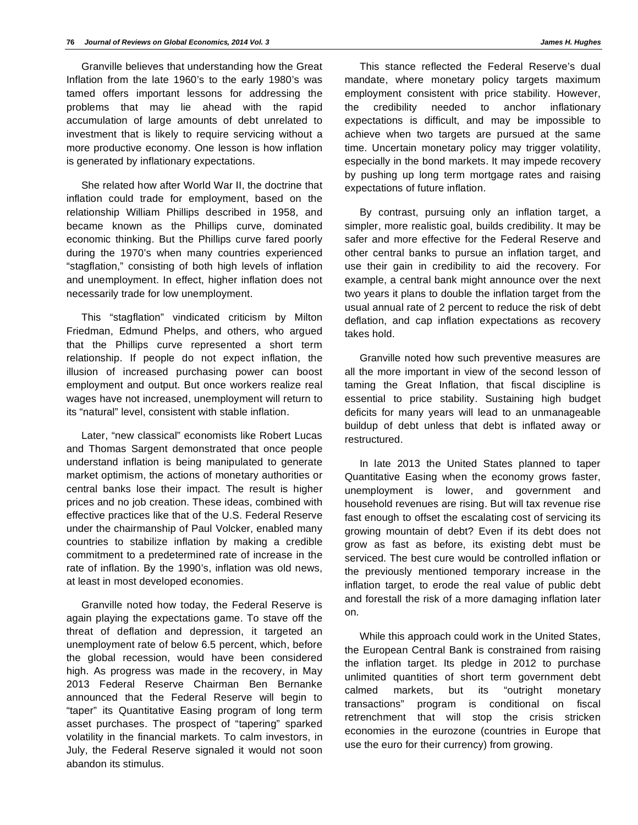Granville believes that understanding how the Great Inflation from the late 1960's to the early 1980's was tamed offers important lessons for addressing the problems that may lie ahead with the rapid accumulation of large amounts of debt unrelated to investment that is likely to require servicing without a more productive economy. One lesson is how inflation is generated by inflationary expectations.

She related how after World War II, the doctrine that inflation could trade for employment, based on the relationship William Phillips described in 1958, and became known as the Phillips curve, dominated economic thinking. But the Phillips curve fared poorly during the 1970's when many countries experienced "stagflation," consisting of both high levels of inflation and unemployment. In effect, higher inflation does not necessarily trade for low unemployment.

This "stagflation" vindicated criticism by Milton Friedman, Edmund Phelps, and others, who argued that the Phillips curve represented a short term relationship. If people do not expect inflation, the illusion of increased purchasing power can boost employment and output. But once workers realize real wages have not increased, unemployment will return to its "natural" level, consistent with stable inflation.

Later, "new classical" economists like Robert Lucas and Thomas Sargent demonstrated that once people understand inflation is being manipulated to generate market optimism, the actions of monetary authorities or central banks lose their impact. The result is higher prices and no job creation. These ideas, combined with effective practices like that of the U.S. Federal Reserve under the chairmanship of Paul Volcker, enabled many countries to stabilize inflation by making a credible commitment to a predetermined rate of increase in the rate of inflation. By the 1990's, inflation was old news, at least in most developed economies.

Granville noted how today, the Federal Reserve is again playing the expectations game. To stave off the threat of deflation and depression, it targeted an unemployment rate of below 6.5 percent, which, before the global recession, would have been considered high. As progress was made in the recovery, in May 2013 Federal Reserve Chairman Ben Bernanke announced that the Federal Reserve will begin to "taper" its Quantitative Easing program of long term asset purchases. The prospect of "tapering" sparked volatility in the financial markets. To calm investors, in July, the Federal Reserve signaled it would not soon abandon its stimulus.

This stance reflected the Federal Reserve's dual mandate, where monetary policy targets maximum employment consistent with price stability. However, the credibility needed to anchor inflationary expectations is difficult, and may be impossible to achieve when two targets are pursued at the same time. Uncertain monetary policy may trigger volatility, especially in the bond markets. It may impede recovery by pushing up long term mortgage rates and raising expectations of future inflation.

By contrast, pursuing only an inflation target, a simpler, more realistic goal, builds credibility. It may be safer and more effective for the Federal Reserve and other central banks to pursue an inflation target, and use their gain in credibility to aid the recovery. For example, a central bank might announce over the next two years it plans to double the inflation target from the usual annual rate of 2 percent to reduce the risk of debt deflation, and cap inflation expectations as recovery takes hold.

Granville noted how such preventive measures are all the more important in view of the second lesson of taming the Great Inflation, that fiscal discipline is essential to price stability. Sustaining high budget deficits for many years will lead to an unmanageable buildup of debt unless that debt is inflated away or restructured.

In late 2013 the United States planned to taper Quantitative Easing when the economy grows faster, unemployment is lower, and government and household revenues are rising. But will tax revenue rise fast enough to offset the escalating cost of servicing its growing mountain of debt? Even if its debt does not grow as fast as before, its existing debt must be serviced. The best cure would be controlled inflation or the previously mentioned temporary increase in the inflation target, to erode the real value of public debt and forestall the risk of a more damaging inflation later on.

While this approach could work in the United States, the European Central Bank is constrained from raising the inflation target. Its pledge in 2012 to purchase unlimited quantities of short term government debt calmed markets, but its "outright monetary transactions" program is conditional on fiscal retrenchment that will stop the crisis stricken economies in the eurozone (countries in Europe that use the euro for their currency) from growing.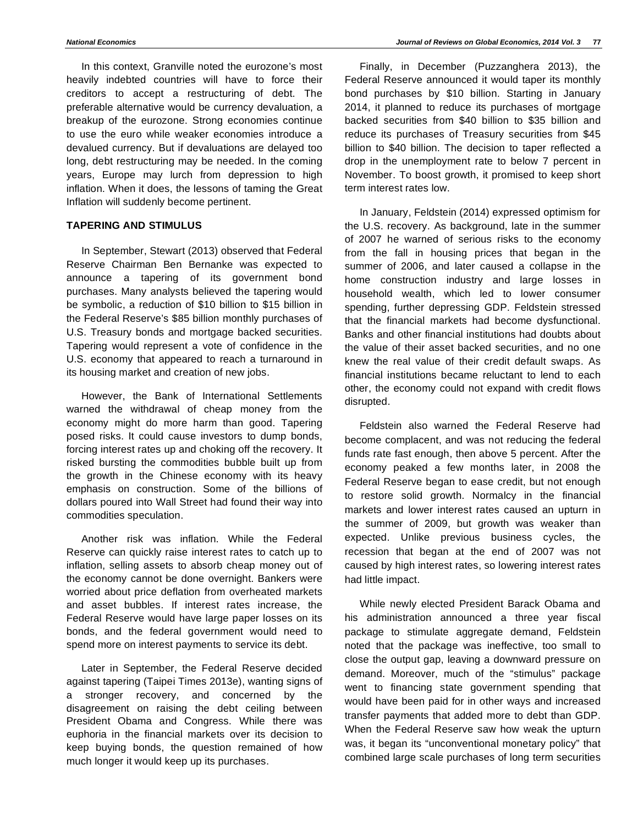In this context, Granville noted the eurozone's most heavily indebted countries will have to force their creditors to accept a restructuring of debt. The preferable alternative would be currency devaluation, a breakup of the eurozone. Strong economies continue to use the euro while weaker economies introduce a devalued currency. But if devaluations are delayed too long, debt restructuring may be needed. In the coming years, Europe may lurch from depression to high inflation. When it does, the lessons of taming the Great Inflation will suddenly become pertinent.

#### **TAPERING AND STIMULUS**

In September, Stewart (2013) observed that Federal Reserve Chairman Ben Bernanke was expected to announce a tapering of its government bond purchases. Many analysts believed the tapering would be symbolic, a reduction of \$10 billion to \$15 billion in the Federal Reserve's \$85 billion monthly purchases of U.S. Treasury bonds and mortgage backed securities. Tapering would represent a vote of confidence in the U.S. economy that appeared to reach a turnaround in its housing market and creation of new jobs.

However, the Bank of International Settlements warned the withdrawal of cheap money from the economy might do more harm than good. Tapering posed risks. It could cause investors to dump bonds, forcing interest rates up and choking off the recovery. It risked bursting the commodities bubble built up from the growth in the Chinese economy with its heavy emphasis on construction. Some of the billions of dollars poured into Wall Street had found their way into commodities speculation.

Another risk was inflation. While the Federal Reserve can quickly raise interest rates to catch up to inflation, selling assets to absorb cheap money out of the economy cannot be done overnight. Bankers were worried about price deflation from overheated markets and asset bubbles. If interest rates increase, the Federal Reserve would have large paper losses on its bonds, and the federal government would need to spend more on interest payments to service its debt.

Later in September, the Federal Reserve decided against tapering (Taipei Times 2013e), wanting signs of a stronger recovery, and concerned by the disagreement on raising the debt ceiling between President Obama and Congress. While there was euphoria in the financial markets over its decision to keep buying bonds, the question remained of how much longer it would keep up its purchases.

Finally, in December (Puzzanghera 2013), the Federal Reserve announced it would taper its monthly bond purchases by \$10 billion. Starting in January 2014, it planned to reduce its purchases of mortgage backed securities from \$40 billion to \$35 billion and reduce its purchases of Treasury securities from \$45 billion to \$40 billion. The decision to taper reflected a drop in the unemployment rate to below 7 percent in November. To boost growth, it promised to keep short term interest rates low.

In January, Feldstein (2014) expressed optimism for the U.S. recovery. As background, late in the summer of 2007 he warned of serious risks to the economy from the fall in housing prices that began in the summer of 2006, and later caused a collapse in the home construction industry and large losses in household wealth, which led to lower consumer spending, further depressing GDP. Feldstein stressed that the financial markets had become dysfunctional. Banks and other financial institutions had doubts about the value of their asset backed securities, and no one knew the real value of their credit default swaps. As financial institutions became reluctant to lend to each other, the economy could not expand with credit flows disrupted.

Feldstein also warned the Federal Reserve had become complacent, and was not reducing the federal funds rate fast enough, then above 5 percent. After the economy peaked a few months later, in 2008 the Federal Reserve began to ease credit, but not enough to restore solid growth. Normalcy in the financial markets and lower interest rates caused an upturn in the summer of 2009, but growth was weaker than expected. Unlike previous business cycles, the recession that began at the end of 2007 was not caused by high interest rates, so lowering interest rates had little impact.

While newly elected President Barack Obama and his administration announced a three year fiscal package to stimulate aggregate demand, Feldstein noted that the package was ineffective, too small to close the output gap, leaving a downward pressure on demand. Moreover, much of the "stimulus" package went to financing state government spending that would have been paid for in other ways and increased transfer payments that added more to debt than GDP. When the Federal Reserve saw how weak the upturn was, it began its "unconventional monetary policy" that combined large scale purchases of long term securities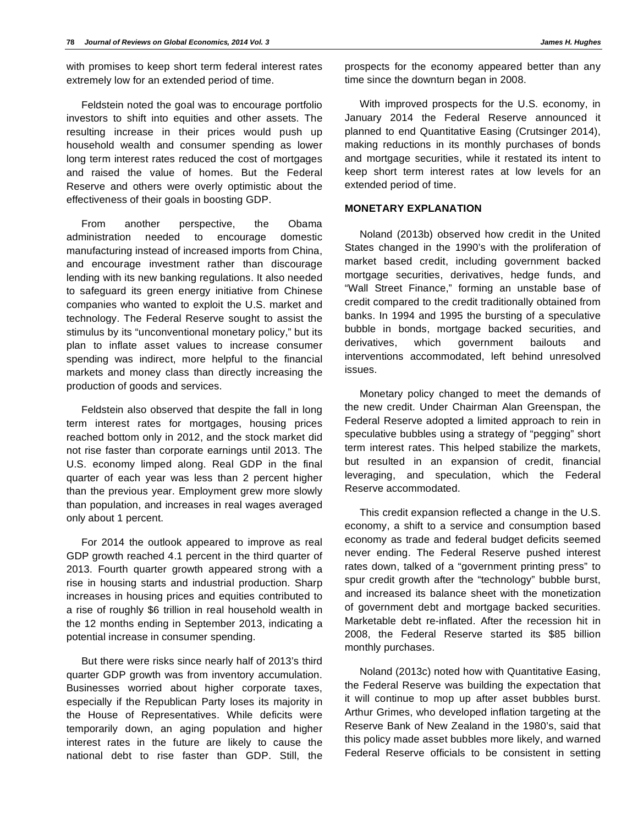with promises to keep short term federal interest rates extremely low for an extended period of time.

Feldstein noted the goal was to encourage portfolio investors to shift into equities and other assets. The resulting increase in their prices would push up household wealth and consumer spending as lower long term interest rates reduced the cost of mortgages and raised the value of homes. But the Federal Reserve and others were overly optimistic about the effectiveness of their goals in boosting GDP.

From another perspective, the Obama administration needed to encourage domestic manufacturing instead of increased imports from China, and encourage investment rather than discourage lending with its new banking regulations. It also needed to safeguard its green energy initiative from Chinese companies who wanted to exploit the U.S. market and technology. The Federal Reserve sought to assist the stimulus by its "unconventional monetary policy," but its plan to inflate asset values to increase consumer spending was indirect, more helpful to the financial markets and money class than directly increasing the production of goods and services.

Feldstein also observed that despite the fall in long term interest rates for mortgages, housing prices reached bottom only in 2012, and the stock market did not rise faster than corporate earnings until 2013. The U.S. economy limped along. Real GDP in the final quarter of each year was less than 2 percent higher than the previous year. Employment grew more slowly than population, and increases in real wages averaged only about 1 percent.

For 2014 the outlook appeared to improve as real GDP growth reached 4.1 percent in the third quarter of 2013. Fourth quarter growth appeared strong with a rise in housing starts and industrial production. Sharp increases in housing prices and equities contributed to a rise of roughly \$6 trillion in real household wealth in the 12 months ending in September 2013, indicating a potential increase in consumer spending.

But there were risks since nearly half of 2013's third quarter GDP growth was from inventory accumulation. Businesses worried about higher corporate taxes, especially if the Republican Party loses its majority in the House of Representatives. While deficits were temporarily down, an aging population and higher interest rates in the future are likely to cause the national debt to rise faster than GDP. Still, the

prospects for the economy appeared better than any time since the downturn began in 2008.

With improved prospects for the U.S. economy, in January 2014 the Federal Reserve announced it planned to end Quantitative Easing (Crutsinger 2014), making reductions in its monthly purchases of bonds and mortgage securities, while it restated its intent to keep short term interest rates at low levels for an extended period of time.

#### **MONETARY EXPLANATION**

Noland (2013b) observed how credit in the United States changed in the 1990's with the proliferation of market based credit, including government backed mortgage securities, derivatives, hedge funds, and "Wall Street Finance," forming an unstable base of credit compared to the credit traditionally obtained from banks. In 1994 and 1995 the bursting of a speculative bubble in bonds, mortgage backed securities, and derivatives, which government bailouts and interventions accommodated, left behind unresolved issues.

Monetary policy changed to meet the demands of the new credit. Under Chairman Alan Greenspan, the Federal Reserve adopted a limited approach to rein in speculative bubbles using a strategy of "pegging" short term interest rates. This helped stabilize the markets, but resulted in an expansion of credit, financial leveraging, and speculation, which the Federal Reserve accommodated.

This credit expansion reflected a change in the U.S. economy, a shift to a service and consumption based economy as trade and federal budget deficits seemed never ending. The Federal Reserve pushed interest rates down, talked of a "government printing press" to spur credit growth after the "technology" bubble burst, and increased its balance sheet with the monetization of government debt and mortgage backed securities. Marketable debt re-inflated. After the recession hit in 2008, the Federal Reserve started its \$85 billion monthly purchases.

Noland (2013c) noted how with Quantitative Easing, the Federal Reserve was building the expectation that it will continue to mop up after asset bubbles burst. Arthur Grimes, who developed inflation targeting at the Reserve Bank of New Zealand in the 1980's, said that this policy made asset bubbles more likely, and warned Federal Reserve officials to be consistent in setting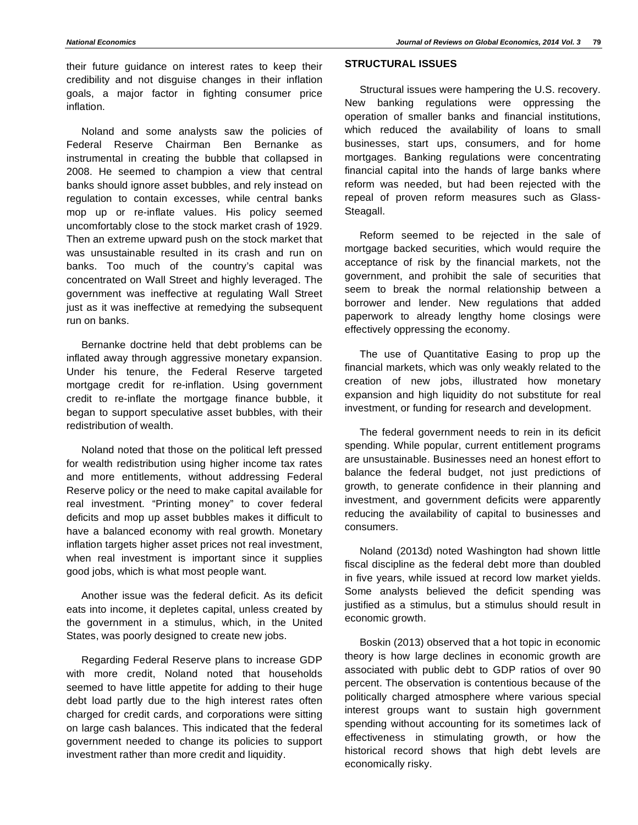their future guidance on interest rates to keep their credibility and not disguise changes in their inflation goals, a major factor in fighting consumer price inflation.

Noland and some analysts saw the policies of Federal Reserve Chairman Ben Bernanke as instrumental in creating the bubble that collapsed in 2008. He seemed to champion a view that central banks should ignore asset bubbles, and rely instead on regulation to contain excesses, while central banks mop up or re-inflate values. His policy seemed uncomfortably close to the stock market crash of 1929. Then an extreme upward push on the stock market that was unsustainable resulted in its crash and run on banks. Too much of the country's capital was concentrated on Wall Street and highly leveraged. The government was ineffective at regulating Wall Street just as it was ineffective at remedying the subsequent run on banks.

Bernanke doctrine held that debt problems can be inflated away through aggressive monetary expansion. Under his tenure, the Federal Reserve targeted mortgage credit for re-inflation. Using government credit to re-inflate the mortgage finance bubble, it began to support speculative asset bubbles, with their redistribution of wealth.

Noland noted that those on the political left pressed for wealth redistribution using higher income tax rates and more entitlements, without addressing Federal Reserve policy or the need to make capital available for real investment. "Printing money" to cover federal deficits and mop up asset bubbles makes it difficult to have a balanced economy with real growth. Monetary inflation targets higher asset prices not real investment, when real investment is important since it supplies good jobs, which is what most people want.

Another issue was the federal deficit. As its deficit eats into income, it depletes capital, unless created by the government in a stimulus, which, in the United States, was poorly designed to create new jobs.

Regarding Federal Reserve plans to increase GDP with more credit, Noland noted that households seemed to have little appetite for adding to their huge debt load partly due to the high interest rates often charged for credit cards, and corporations were sitting on large cash balances. This indicated that the federal government needed to change its policies to support investment rather than more credit and liquidity.

# **STRUCTURAL ISSUES**

Structural issues were hampering the U.S. recovery. New banking regulations were oppressing the operation of smaller banks and financial institutions, which reduced the availability of loans to small businesses, start ups, consumers, and for home mortgages. Banking regulations were concentrating financial capital into the hands of large banks where reform was needed, but had been rejected with the repeal of proven reform measures such as Glass-Steagall.

Reform seemed to be rejected in the sale of mortgage backed securities, which would require the acceptance of risk by the financial markets, not the government, and prohibit the sale of securities that seem to break the normal relationship between a borrower and lender. New regulations that added paperwork to already lengthy home closings were effectively oppressing the economy.

The use of Quantitative Easing to prop up the financial markets, which was only weakly related to the creation of new jobs, illustrated how monetary expansion and high liquidity do not substitute for real investment, or funding for research and development.

The federal government needs to rein in its deficit spending. While popular, current entitlement programs are unsustainable. Businesses need an honest effort to balance the federal budget, not just predictions of growth, to generate confidence in their planning and investment, and government deficits were apparently reducing the availability of capital to businesses and consumers.

Noland (2013d) noted Washington had shown little fiscal discipline as the federal debt more than doubled in five years, while issued at record low market yields. Some analysts believed the deficit spending was justified as a stimulus, but a stimulus should result in economic growth.

Boskin (2013) observed that a hot topic in economic theory is how large declines in economic growth are associated with public debt to GDP ratios of over 90 percent. The observation is contentious because of the politically charged atmosphere where various special interest groups want to sustain high government spending without accounting for its sometimes lack of effectiveness in stimulating growth, or how the historical record shows that high debt levels are economically risky.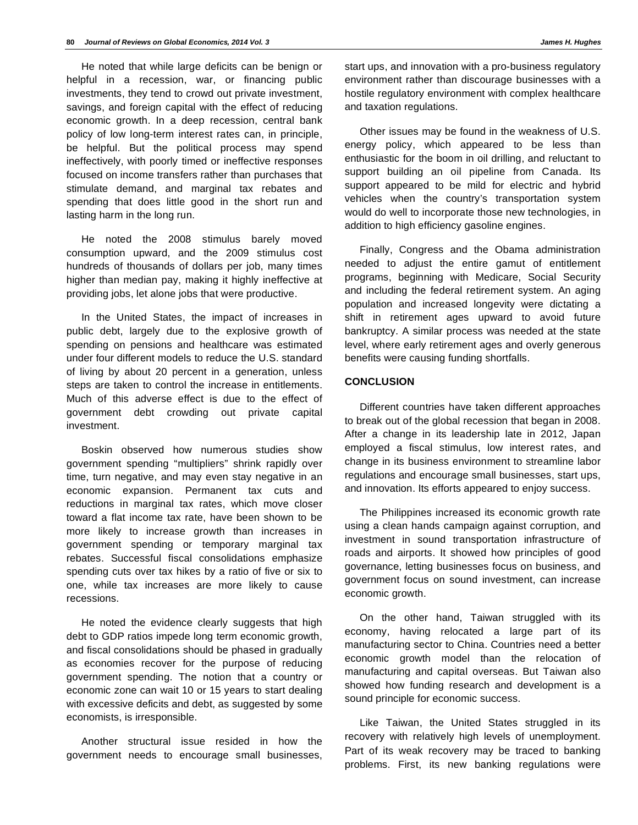He noted that while large deficits can be benign or helpful in a recession, war, or financing public investments, they tend to crowd out private investment, savings, and foreign capital with the effect of reducing economic growth. In a deep recession, central bank policy of low long-term interest rates can, in principle, be helpful. But the political process may spend ineffectively, with poorly timed or ineffective responses focused on income transfers rather than purchases that stimulate demand, and marginal tax rebates and spending that does little good in the short run and lasting harm in the long run.

He noted the 2008 stimulus barely moved consumption upward, and the 2009 stimulus cost hundreds of thousands of dollars per job, many times higher than median pay, making it highly ineffective at providing jobs, let alone jobs that were productive.

In the United States, the impact of increases in public debt, largely due to the explosive growth of spending on pensions and healthcare was estimated under four different models to reduce the U.S. standard of living by about 20 percent in a generation, unless steps are taken to control the increase in entitlements. Much of this adverse effect is due to the effect of government debt crowding out private capital investment.

Boskin observed how numerous studies show government spending "multipliers" shrink rapidly over time, turn negative, and may even stay negative in an economic expansion. Permanent tax cuts and reductions in marginal tax rates, which move closer toward a flat income tax rate, have been shown to be more likely to increase growth than increases in government spending or temporary marginal tax rebates. Successful fiscal consolidations emphasize spending cuts over tax hikes by a ratio of five or six to one, while tax increases are more likely to cause recessions.

He noted the evidence clearly suggests that high debt to GDP ratios impede long term economic growth, and fiscal consolidations should be phased in gradually as economies recover for the purpose of reducing government spending. The notion that a country or economic zone can wait 10 or 15 years to start dealing with excessive deficits and debt, as suggested by some economists, is irresponsible.

Another structural issue resided in how the government needs to encourage small businesses, environment rather than discourage businesses with a hostile regulatory environment with complex healthcare and taxation regulations.

Other issues may be found in the weakness of U.S. energy policy, which appeared to be less than enthusiastic for the boom in oil drilling, and reluctant to support building an oil pipeline from Canada. Its support appeared to be mild for electric and hybrid vehicles when the country's transportation system would do well to incorporate those new technologies, in addition to high efficiency gasoline engines.

Finally, Congress and the Obama administration needed to adjust the entire gamut of entitlement programs, beginning with Medicare, Social Security and including the federal retirement system. An aging population and increased longevity were dictating a shift in retirement ages upward to avoid future bankruptcy. A similar process was needed at the state level, where early retirement ages and overly generous benefits were causing funding shortfalls.

## **CONCLUSION**

Different countries have taken different approaches to break out of the global recession that began in 2008. After a change in its leadership late in 2012, Japan employed a fiscal stimulus, low interest rates, and change in its business environment to streamline labor regulations and encourage small businesses, start ups, and innovation. Its efforts appeared to enjoy success.

The Philippines increased its economic growth rate using a clean hands campaign against corruption, and investment in sound transportation infrastructure of roads and airports. It showed how principles of good governance, letting businesses focus on business, and government focus on sound investment, can increase economic growth.

On the other hand, Taiwan struggled with its economy, having relocated a large part of its manufacturing sector to China. Countries need a better economic growth model than the relocation of manufacturing and capital overseas. But Taiwan also showed how funding research and development is a sound principle for economic success.

Like Taiwan, the United States struggled in its recovery with relatively high levels of unemployment. Part of its weak recovery may be traced to banking problems. First, its new banking regulations were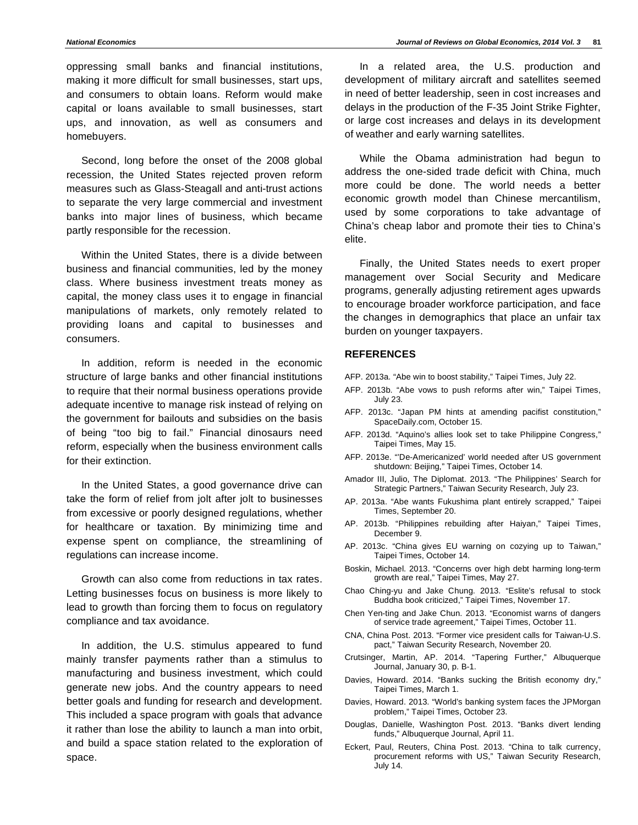oppressing small banks and financial institutions, making it more difficult for small businesses, start ups, and consumers to obtain loans. Reform would make capital or loans available to small businesses, start ups, and innovation, as well as consumers and homebuyers.

Second, long before the onset of the 2008 global recession, the United States rejected proven reform measures such as Glass-Steagall and anti-trust actions to separate the very large commercial and investment banks into major lines of business, which became partly responsible for the recession.

Within the United States, there is a divide between business and financial communities, led by the money class. Where business investment treats money as capital, the money class uses it to engage in financial manipulations of markets, only remotely related to providing loans and capital to businesses and consumers.

In addition, reform is needed in the economic structure of large banks and other financial institutions to require that their normal business operations provide adequate incentive to manage risk instead of relying on the government for bailouts and subsidies on the basis of being "too big to fail." Financial dinosaurs need reform, especially when the business environment calls for their extinction.

In the United States, a good governance drive can take the form of relief from jolt after jolt to businesses from excessive or poorly designed regulations, whether for healthcare or taxation. By minimizing time and expense spent on compliance, the streamlining of regulations can increase income.

Growth can also come from reductions in tax rates. Letting businesses focus on business is more likely to lead to growth than forcing them to focus on regulatory compliance and tax avoidance.

In addition, the U.S. stimulus appeared to fund mainly transfer payments rather than a stimulus to manufacturing and business investment, which could generate new jobs. And the country appears to need better goals and funding for research and development. This included a space program with goals that advance it rather than lose the ability to launch a man into orbit, and build a space station related to the exploration of space.

In a related area, the U.S. production and development of military aircraft and satellites seemed in need of better leadership, seen in cost increases and delays in the production of the F-35 Joint Strike Fighter, or large cost increases and delays in its development of weather and early warning satellites.

While the Obama administration had begun to address the one-sided trade deficit with China, much more could be done. The world needs a better economic growth model than Chinese mercantilism, used by some corporations to take advantage of China's cheap labor and promote their ties to China's elite.

Finally, the United States needs to exert proper management over Social Security and Medicare programs, generally adjusting retirement ages upwards to encourage broader workforce participation, and face the changes in demographics that place an unfair tax burden on younger taxpayers.

#### **REFERENCES**

- AFP. 2013a. "Abe win to boost stability," Taipei Times, July 22.
- AFP. 2013b. "Abe vows to push reforms after win," Taipei Times, July 23.
- AFP. 2013c. "Japan PM hints at amending pacifist constitution," SpaceDaily.com, October 15.
- AFP. 2013d. "Aquino's allies look set to take Philippine Congress," Taipei Times, May 15.
- AFP. 2013e. "'De-Americanized' world needed after US government shutdown: Beijing," Taipei Times, October 14.
- Amador III, Julio, The Diplomat. 2013. "The Philippines' Search for Strategic Partners," Taiwan Security Research, July 23.
- AP. 2013a. "Abe wants Fukushima plant entirely scrapped," Taipei Times, September 20.
- AP. 2013b. "Philippines rebuilding after Haiyan," Taipei Times, December 9.
- AP. 2013c. "China gives EU warning on cozying up to Taiwan," Taipei Times, October 14.
- Boskin, Michael. 2013. "Concerns over high debt harming long-term growth are real," Taipei Times, May 27.
- Chao Ching-yu and Jake Chung. 2013. "Eslite's refusal to stock Buddha book criticized," Taipei Times, November 17.
- Chen Yen-ting and Jake Chun. 2013. "Economist warns of dangers of service trade agreement," Taipei Times, October 11.
- CNA, China Post. 2013. "Former vice president calls for Taiwan-U.S. pact," Taiwan Security Research, November 20.
- Crutsinger, Martin, AP. 2014. "Tapering Further," Albuquerque Journal, January 30, p. B-1.
- Davies, Howard. 2014. "Banks sucking the British economy dry," Taipei Times, March 1.
- Davies, Howard. 2013. "World's banking system faces the JPMorgan problem," Taipei Times, October 23.
- Douglas, Danielle, Washington Post. 2013. "Banks divert lending funds," Albuquerque Journal, April 11.
- Eckert, Paul, Reuters, China Post. 2013. "China to talk currency, procurement reforms with US," Taiwan Security Research, July 14.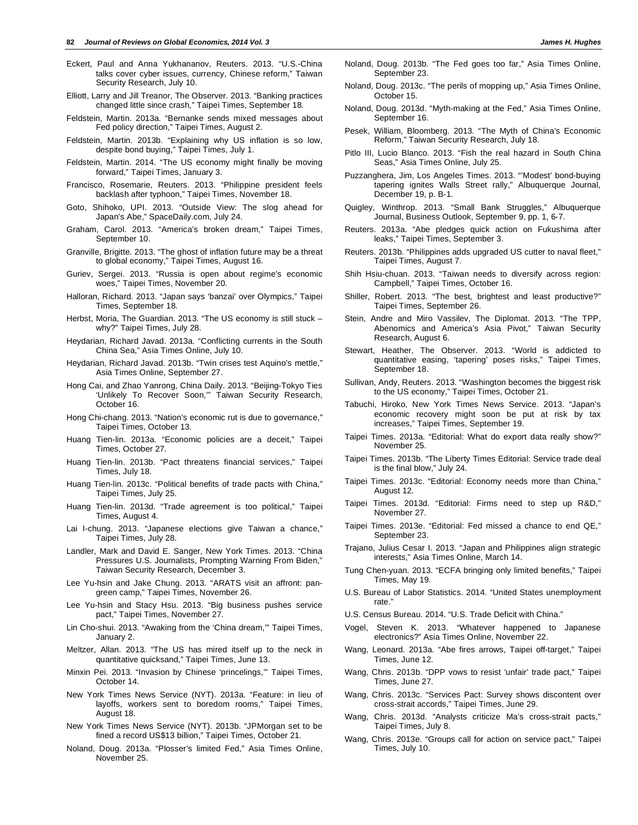- Eckert, Paul and Anna Yukhananov, Reuters. 2013. "U.S.-China talks cover cyber issues, currency, Chinese reform," Taiwan Security Research, July 10.
- Elliott, Larry and Jill Treanor, The Observer. 2013. "Banking practices changed little since crash," Taipei Times, September 18.
- Feldstein, Martin. 2013a. "Bernanke sends mixed messages about Fed policy direction," Taipei Times, August 2.
- Feldstein, Martin. 2013b. "Explaining why US inflation is so low, despite bond buying," Taipei Times, July 1.
- Feldstein, Martin. 2014. "The US economy might finally be moving forward," Taipei Times, January 3.
- Francisco, Rosemarie, Reuters. 2013. "Philippine president feels backlash after typhoon," Taipei Times, November 18.
- Goto, Shihoko, UPI. 2013. "Outside View: The slog ahead for Japan's Abe," SpaceDaily.com, July 24.
- Graham, Carol. 2013. "America's broken dream," Taipei Times, September 10.
- Granville, Brigitte. 2013. "The ghost of inflation future may be a threat to global economy," Taipei Times, August 16.
- Guriev, Sergei. 2013. "Russia is open about regime's economic woes," Taipei Times, November 20.
- Halloran, Richard. 2013. "Japan says 'banzai' over Olympics," Taipei Times, September 18.
- Herbst, Moria, The Guardian. 2013. "The US economy is still stuck why?" Taipei Times, July 28.
- Heydarian, Richard Javad. 2013a. "Conflicting currents in the South China Sea," Asia Times Online, July 10.
- Heydarian, Richard Javad. 2013b. "Twin crises test Aquino's mettle," Asia Times Online, September 27.
- Hong Cai, and Zhao Yanrong, China Daily. 2013. "Beijing-Tokyo Ties 'Unlikely To Recover Soon,'" Taiwan Security Research, October 16.
- Hong Chi-chang. 2013. "Nation's economic rut is due to governance," Taipei Times, October 13.
- Huang Tien-lin. 2013a. "Economic policies are a deceit," Taipei Times, October 27.
- Huang Tien-lin. 2013b. "Pact threatens financial services," Taipei Times, July 18.
- Huang Tien-lin. 2013c. "Political benefits of trade pacts with China," Taipei Times, July 25.
- Huang Tien-lin. 2013d. "Trade agreement is too political," Taipei Times, August 4.
- Lai I-chung. 2013. "Japanese elections give Taiwan a chance," Taipei Times, July 28.
- Landler, Mark and David E. Sanger, New York Times. 2013. "China Pressures U.S. Journalists, Prompting Warning From Biden," Taiwan Security Research, December 3.
- Lee Yu-hsin and Jake Chung. 2013. "ARATS visit an affront: pangreen camp," Taipei Times, November 26.
- Lee Yu-hsin and Stacy Hsu. 2013. "Big business pushes service pact," Taipei Times, November 27.
- Lin Cho-shui. 2013. "Awaking from the 'China dream,'" Taipei Times, January 2.
- Meltzer, Allan. 2013. "The US has mired itself up to the neck in quantitative quicksand," Taipei Times, June 13.
- Minxin Pei. 2013. "Invasion by Chinese 'princelings,'" Taipei Times, October 14.
- New York Times News Service (NYT). 2013a. "Feature: in lieu of layoffs, workers sent to boredom rooms," Taipei Times, August 18.
- New York Times News Service (NYT). 2013b. "JPMorgan set to be fined a record US\$13 billion," Taipei Times, October 21.
- Noland, Doug. 2013a. "Plosser's limited Fed," Asia Times Online, November 25.
- Noland, Doug. 2013b. "The Fed goes too far," Asia Times Online, September 23.
- Noland, Doug. 2013c. "The perils of mopping up," Asia Times Online, October 15.
- Noland, Doug. 2013d. "Myth-making at the Fed," Asia Times Online, September 16.
- Pesek, William, Bloomberg. 2013. "The Myth of China's Economic Reform," Taiwan Security Research, July 18.
- Pitlo III, Lucio Blanco. 2013. "Fish the real hazard in South China Seas," Asia Times Online, July 25.
- Puzzanghera, Jim, Los Angeles Times. 2013. "'Modest' bond-buying tapering ignites Walls Street rally," Albuquerque Journal, December 19, p. B-1.
- Quigley, Winthrop. 2013. "Small Bank Struggles," Albuquerque Journal, Business Outlook, September 9, pp. 1, 6-7.
- Reuters. 2013a. "Abe pledges quick action on Fukushima after leaks," Taipei Times, September 3.
- Reuters. 2013b. "Philippines adds upgraded US cutter to naval fleet," Taipei Times, August 7.
- Shih Hsiu-chuan. 2013. "Taiwan needs to diversify across region: Campbell," Taipei Times, October 16.
- Shiller, Robert. 2013. "The best, brightest and least productive?" Taipei Times, September 26.
- Stein, Andre and Miro Vassilev, The Diplomat. 2013. "The TPP, Abenomics and America's Asia Pivot," Taiwan Security Research, August 6.
- Stewart, Heather, The Observer. 2013. "World is addicted to quantitative easing, 'tapering' poses risks," Taipei Times, September 18.
- Sullivan, Andy, Reuters. 2013. "Washington becomes the biggest risk to the US economy," Taipei Times, October 21.
- Tabuchi, Hiroko, New York Times News Service. 2013. "Japan's economic recovery might soon be put at risk by tax increases," Taipei Times, September 19.
- Taipei Times. 2013a. "Editorial: What do export data really show?" November 25.
- Taipei Times. 2013b. "The Liberty Times Editorial: Service trade deal is the final blow," July 24.
- Taipei Times. 2013c. "Editorial: Economy needs more than China," August 12.
- Taipei Times. 2013d. "Editorial: Firms need to step up R&D," November 27.
- Taipei Times. 2013e. "Editorial: Fed missed a chance to end QE," September 23.
- Trajano, Julius Cesar I. 2013. "Japan and Philippines align strategic interests," Asia Times Online, March 14.
- Tung Chen-yuan. 2013. "ECFA bringing only limited benefits," Taipei Times, May 19.
- U.S. Bureau of Labor Statistics. 2014. "United States unemployment rate."
- U.S. Census Bureau. 2014. "U.S. Trade Deficit with China."
- Vogel, Steven K. 2013. "Whatever happened to Japanese electronics?" Asia Times Online, November 22.
- Wang, Leonard. 2013a. "Abe fires arrows, Taipei off-target," Taipei Times, June 12.
- Wang, Chris. 2013b. "DPP vows to resist 'unfair' trade pact," Taipei Times, June 27.
- Wang, Chris. 2013c. "Services Pact: Survey shows discontent over cross-strait accords," Taipei Times, June 29.
- Wang, Chris. 2013d. "Analysts criticize Ma's cross-strait pacts," Taipei Times, July 8.
- Wang, Chris. 2013e. "Groups call for action on service pact," Taipei Times, July 10.